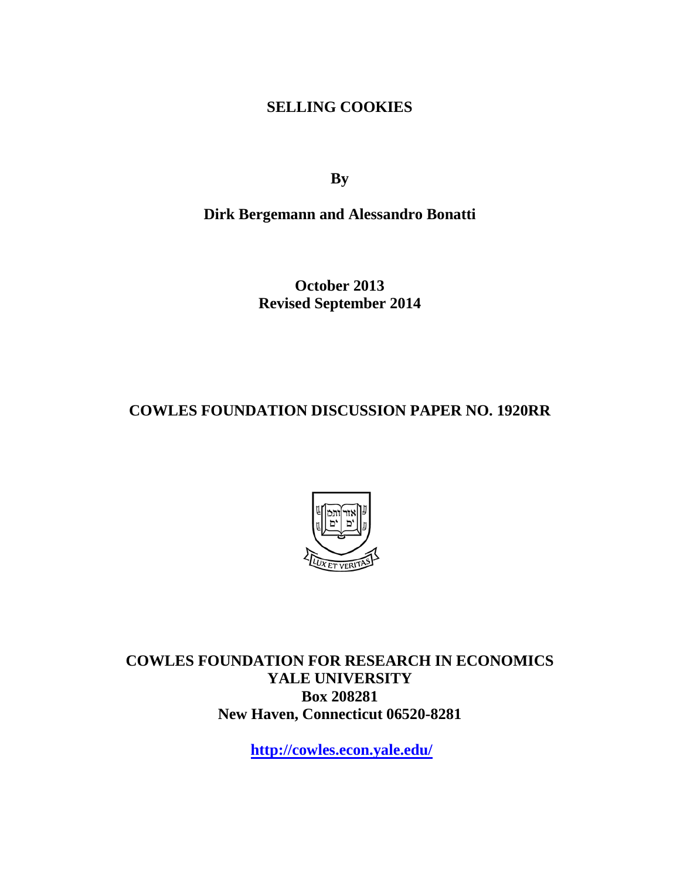**SELLING COOKIES**

**By**

**Dirk Bergemann and Alessandro Bonatti**

**October 2013 Revised September 2014**

**COWLES FOUNDATION DISCUSSION PAPER NO. 1920RR**



**COWLES FOUNDATION FOR RESEARCH IN ECONOMICS YALE UNIVERSITY Box 208281 New Haven, Connecticut 06520-8281**

**<http://cowles.econ.yale.edu/>**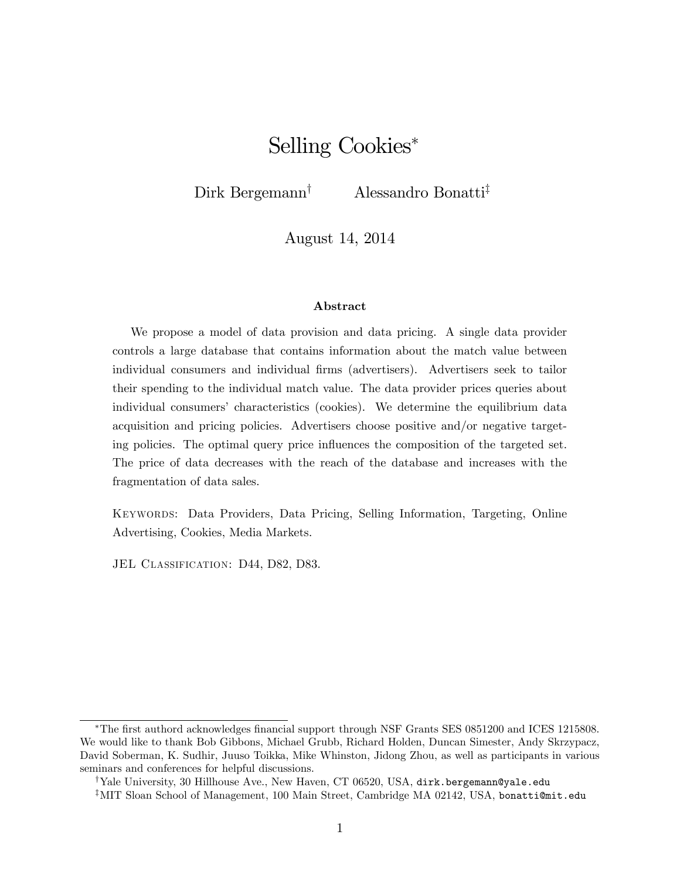# Selling Cookies

Dirk Bergemann<sup>†</sup> Alessandro Bonatti<sup>‡</sup>

August 14, 2014

#### Abstract

We propose a model of data provision and data pricing. A single data provider controls a large database that contains information about the match value between individual consumers and individual Örms (advertisers). Advertisers seek to tailor their spending to the individual match value. The data provider prices queries about individual consumers' characteristics (cookies). We determine the equilibrium data acquisition and pricing policies. Advertisers choose positive and/or negative targeting policies. The optimal query price influences the composition of the targeted set. The price of data decreases with the reach of the database and increases with the fragmentation of data sales.

Keywords: Data Providers, Data Pricing, Selling Information, Targeting, Online Advertising, Cookies, Media Markets.

JEL CLASSIFICATION: D44, D82, D83.

The Örst authord acknowledges Önancial support through NSF Grants SES 0851200 and ICES 1215808. We would like to thank Bob Gibbons, Michael Grubb, Richard Holden, Duncan Simester, Andy Skrzypacz, David Soberman, K. Sudhir, Juuso Toikka, Mike Whinston, Jidong Zhou, as well as participants in various seminars and conferences for helpful discussions.

<sup>&</sup>lt;sup>†</sup>Yale University, 30 Hillhouse Ave., New Haven, CT 06520, USA, dirk.bergemann@yale.edu

 $^{\ddagger}$ MIT Sloan School of Management, 100 Main Street, Cambridge MA 02142, USA, bonatti@mit.edu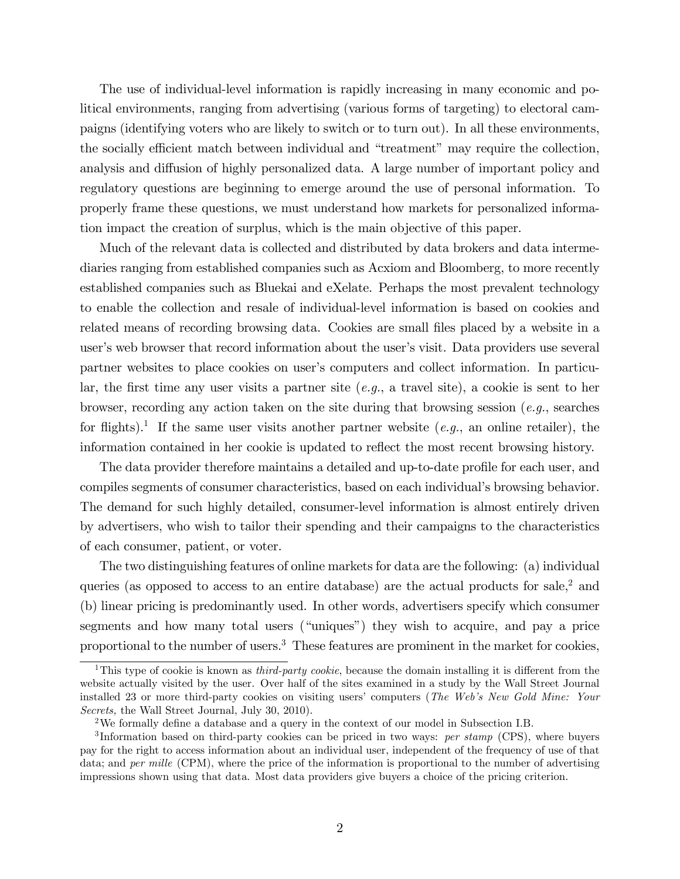The use of individual-level information is rapidly increasing in many economic and political environments, ranging from advertising (various forms of targeting) to electoral campaigns (identifying voters who are likely to switch or to turn out). In all these environments, the socially efficient match between individual and "treatment" may require the collection, analysis and diffusion of highly personalized data. A large number of important policy and regulatory questions are beginning to emerge around the use of personal information. To properly frame these questions, we must understand how markets for personalized information impact the creation of surplus, which is the main objective of this paper.

Much of the relevant data is collected and distributed by data brokers and data intermediaries ranging from established companies such as Acxiom and Bloomberg, to more recently established companies such as Bluekai and eXelate. Perhaps the most prevalent technology to enable the collection and resale of individual-level information is based on cookies and related means of recording browsing data. Cookies are small files placed by a website in a user's web browser that record information about the user's visit. Data providers use several partner websites to place cookies on user's computers and collect information. In particular, the first time any user visits a partner site  $(e,q)$ , a travel site), a cookie is sent to her browser, recording any action taken on the site during that browsing session (e.g., searches for flights).<sup>1</sup> If the same user visits another partner website  $(e.g.,$  an online retailer), the information contained in her cookie is updated to reflect the most recent browsing history.

The data provider therefore maintains a detailed and up-to-date profile for each user, and compiles segments of consumer characteristics, based on each individual's browsing behavior. The demand for such highly detailed, consumer-level information is almost entirely driven by advertisers, who wish to tailor their spending and their campaigns to the characteristics of each consumer, patient, or voter.

The two distinguishing features of online markets for data are the following: (a) individual queries (as opposed to access to an entire database) are the actual products for sale,<sup>2</sup> and (b) linear pricing is predominantly used. In other words, advertisers specify which consumer segments and how many total users ("uniques") they wish to acquire, and pay a price proportional to the number of users.<sup>3</sup> These features are prominent in the market for cookies,

<sup>&</sup>lt;sup>1</sup>This type of cookie is known as *third-party cookie*, because the domain installing it is different from the website actually visited by the user. Over half of the sites examined in a study by the Wall Street Journal installed 23 or more third-party cookies on visiting users' computers (*The Web's New Gold Mine: Your* Secrets, the Wall Street Journal, July 30, 2010).

 $2$ We formally define a database and a query in the context of our model in Subsection I.B.

<sup>&</sup>lt;sup>3</sup>Information based on third-party cookies can be priced in two ways: *per stamp* (CPS), where buyers pay for the right to access information about an individual user, independent of the frequency of use of that data; and *per mille* (CPM), where the price of the information is proportional to the number of advertising impressions shown using that data. Most data providers give buyers a choice of the pricing criterion.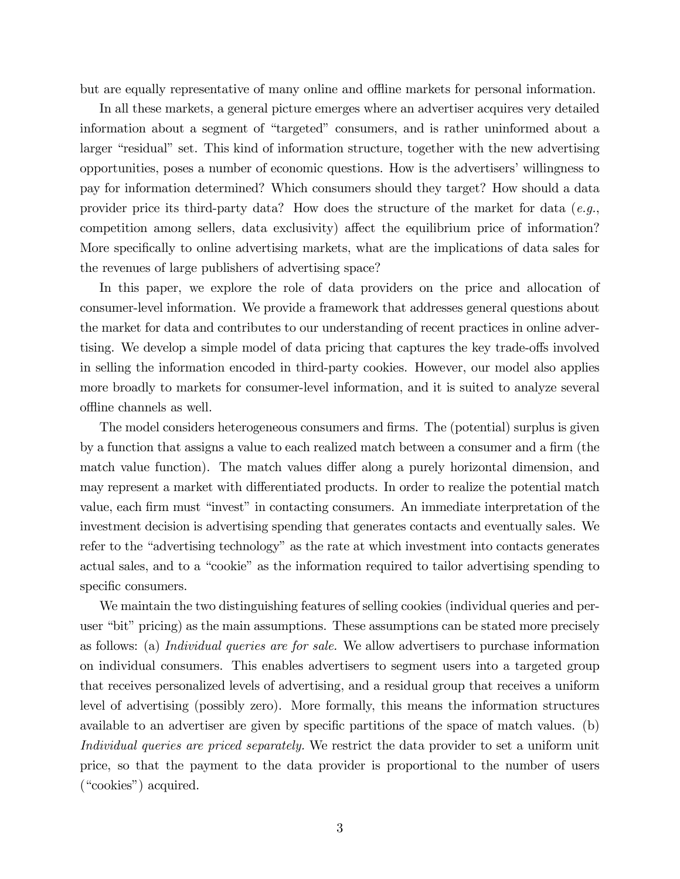but are equally representative of many online and offline markets for personal information.

In all these markets, a general picture emerges where an advertiser acquires very detailed information about a segment of "targeted" consumers, and is rather uninformed about a larger "residual" set. This kind of information structure, together with the new advertising opportunities, poses a number of economic questions. How is the advertisers' willingness to pay for information determined? Which consumers should they target? How should a data provider price its third-party data? How does the structure of the market for data  $(e.q.,)$ competition among sellers, data exclusivity) affect the equilibrium price of information? More specifically to online advertising markets, what are the implications of data sales for the revenues of large publishers of advertising space?

In this paper, we explore the role of data providers on the price and allocation of consumer-level information. We provide a framework that addresses general questions about the market for data and contributes to our understanding of recent practices in online advertising. We develop a simple model of data pricing that captures the key trade-offs involved in selling the information encoded in third-party cookies. However, our model also applies more broadly to markets for consumer-level information, and it is suited to analyze several offline channels as well.

The model considers heterogeneous consumers and firms. The (potential) surplus is given by a function that assigns a value to each realized match between a consumer and a firm (the match value function). The match values differ along a purely horizontal dimension, and may represent a market with differentiated products. In order to realize the potential match value, each firm must "invest" in contacting consumers. An immediate interpretation of the investment decision is advertising spending that generates contacts and eventually sales. We refer to the "advertising technology" as the rate at which investment into contacts generates actual sales, and to a "cookie" as the information required to tailor advertising spending to specific consumers.

We maintain the two distinguishing features of selling cookies (individual queries and peruser "bit" pricing) as the main assumptions. These assumptions can be stated more precisely as follows: (a) Individual queries are for sale. We allow advertisers to purchase information on individual consumers. This enables advertisers to segment users into a targeted group that receives personalized levels of advertising, and a residual group that receives a uniform level of advertising (possibly zero). More formally, this means the information structures available to an advertiser are given by specific partitions of the space of match values. (b) Individual queries are priced separately. We restrict the data provider to set a uniform unit price, so that the payment to the data provider is proportional to the number of users  $($ "cookies") acquired.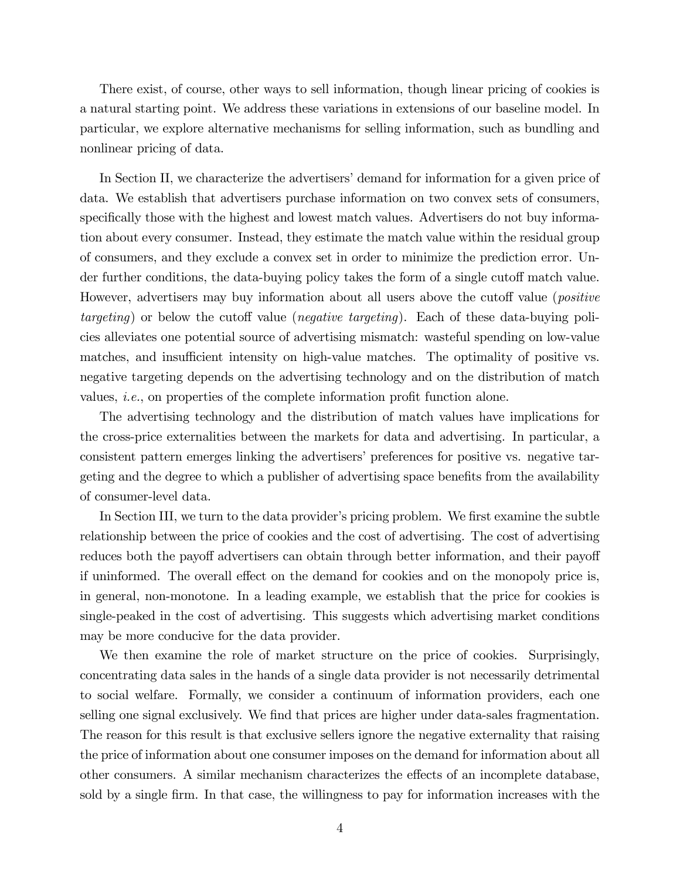There exist, of course, other ways to sell information, though linear pricing of cookies is a natural starting point. We address these variations in extensions of our baseline model. In particular, we explore alternative mechanisms for selling information, such as bundling and nonlinear pricing of data.

In Section II, we characterize the advertisers' demand for information for a given price of data. We establish that advertisers purchase information on two convex sets of consumers, specifically those with the highest and lowest match values. Advertisers do not buy information about every consumer. Instead, they estimate the match value within the residual group of consumers, and they exclude a convex set in order to minimize the prediction error. Under further conditions, the data-buying policy takes the form of a single cutoff match value. However, advertisers may buy information about all users above the cutoff value (*positive*  $targeting)$  or below the cutoff value (*negative targeting*). Each of these data-buying policies alleviates one potential source of advertising mismatch: wasteful spending on low-value matches, and insufficient intensity on high-value matches. The optimality of positive vs. negative targeting depends on the advertising technology and on the distribution of match values, *i.e.*, on properties of the complete information profit function alone.

The advertising technology and the distribution of match values have implications for the cross-price externalities between the markets for data and advertising. In particular, a consistent pattern emerges linking the advertisers' preferences for positive vs. negative targeting and the degree to which a publisher of advertising space benefits from the availability of consumer-level data.

In Section III, we turn to the data provider's pricing problem. We first examine the subtle relationship between the price of cookies and the cost of advertising. The cost of advertising reduces both the payoff advertisers can obtain through better information, and their payoff if uninformed. The overall effect on the demand for cookies and on the monopoly price is, in general, non-monotone. In a leading example, we establish that the price for cookies is single-peaked in the cost of advertising. This suggests which advertising market conditions may be more conducive for the data provider.

We then examine the role of market structure on the price of cookies. Surprisingly, concentrating data sales in the hands of a single data provider is not necessarily detrimental to social welfare. Formally, we consider a continuum of information providers, each one selling one signal exclusively. We find that prices are higher under data-sales fragmentation. The reason for this result is that exclusive sellers ignore the negative externality that raising the price of information about one consumer imposes on the demand for information about all other consumers. A similar mechanism characterizes the effects of an incomplete database, sold by a single firm. In that case, the willingness to pay for information increases with the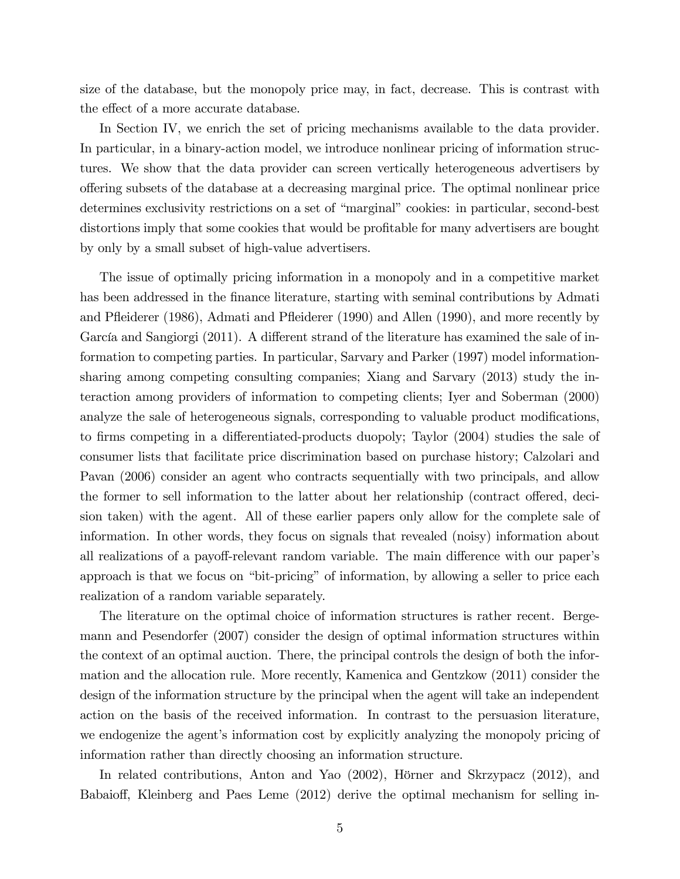size of the database, but the monopoly price may, in fact, decrease. This is contrast with the effect of a more accurate database.

In Section IV, we enrich the set of pricing mechanisms available to the data provider. In particular, in a binary-action model, we introduce nonlinear pricing of information structures. We show that the data provider can screen vertically heterogeneous advertisers by offering subsets of the database at a decreasing marginal price. The optimal nonlinear price determines exclusivity restrictions on a set of "marginal" cookies: in particular, second-best distortions imply that some cookies that would be profitable for many advertisers are bought by only by a small subset of high-value advertisers.

The issue of optimally pricing information in a monopoly and in a competitive market has been addressed in the finance literature, starting with seminal contributions by Admati and Páeiderer (1986), Admati and Páeiderer (1990) and Allen (1990), and more recently by García and Sangiorgi (2011). A different strand of the literature has examined the sale of information to competing parties. In particular, Sarvary and Parker (1997) model informationsharing among competing consulting companies; Xiang and Sarvary (2013) study the interaction among providers of information to competing clients; Iyer and Soberman (2000) analyze the sale of heterogeneous signals, corresponding to valuable product modifications, to firms competing in a differentiated-products duopoly; Taylor (2004) studies the sale of consumer lists that facilitate price discrimination based on purchase history; Calzolari and Pavan (2006) consider an agent who contracts sequentially with two principals, and allow the former to sell information to the latter about her relationship (contract offered, decision taken) with the agent. All of these earlier papers only allow for the complete sale of information. In other words, they focus on signals that revealed (noisy) information about all realizations of a payoff-relevant random variable. The main difference with our paper's approach is that we focus on "bit-pricing" of information, by allowing a seller to price each realization of a random variable separately.

The literature on the optimal choice of information structures is rather recent. Bergemann and Pesendorfer (2007) consider the design of optimal information structures within the context of an optimal auction. There, the principal controls the design of both the information and the allocation rule. More recently, Kamenica and Gentzkow (2011) consider the design of the information structure by the principal when the agent will take an independent action on the basis of the received information. In contrast to the persuasion literature, we endogenize the agent's information cost by explicitly analyzing the monopoly pricing of information rather than directly choosing an information structure.

In related contributions, Anton and Yao  $(2002)$ , Hörner and Skrzypacz  $(2012)$ , and Babaioff, Kleinberg and Paes Leme (2012) derive the optimal mechanism for selling in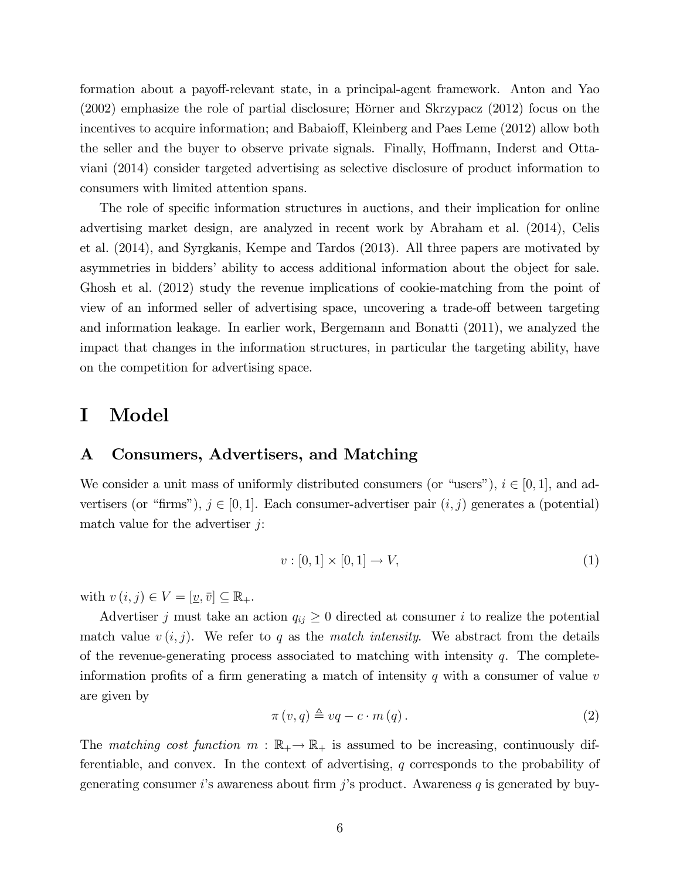formation about a payoff-relevant state, in a principal-agent framework. Anton and Yao  $(2002)$  emphasize the role of partial disclosure; Hörner and Skrzypacz  $(2012)$  focus on the incentives to acquire information; and Babaioff, Kleinberg and Paes Leme (2012) allow both the seller and the buyer to observe private signals. Finally, Hoffmann, Inderst and Ottaviani (2014) consider targeted advertising as selective disclosure of product information to consumers with limited attention spans.

The role of specific information structures in auctions, and their implication for online advertising market design, are analyzed in recent work by Abraham et al. (2014), Celis et al. (2014), and Syrgkanis, Kempe and Tardos (2013). All three papers are motivated by asymmetries in bidders' ability to access additional information about the object for sale. Ghosh et al. (2012) study the revenue implications of cookie-matching from the point of view of an informed seller of advertising space, uncovering a trade-off between targeting and information leakage. In earlier work, Bergemann and Bonatti (2011), we analyzed the impact that changes in the information structures, in particular the targeting ability, have on the competition for advertising space.

## I Model

## A Consumers, Advertisers, and Matching

We consider a unit mass of uniformly distributed consumers (or "users"),  $i \in [0, 1]$ , and advertisers (or "firms"),  $j \in [0, 1]$ . Each consumer-advertiser pair  $(i, j)$  generates a (potential) match value for the advertiser  $j$ :

$$
v: [0,1] \times [0,1] \to V,
$$
\n(1)

with  $v(i, j) \in V = [\underline{v}, \overline{v}] \subseteq \mathbb{R}_+$ .

Advertiser j must take an action  $q_{ij} \geq 0$  directed at consumer i to realize the potential match value  $v(i, j)$ . We refer to q as the match intensity. We abstract from the details of the revenue-generating process associated to matching with intensity  $q$ . The completeinformation profits of a firm generating a match of intensity q with a consumer of value  $v$ are given by

$$
\pi(v,q) \triangleq vq - c \cdot m(q). \tag{2}
$$

The matching cost function  $m : \mathbb{R}_+ \to \mathbb{R}_+$  is assumed to be increasing, continuously differentiable, and convex. In the context of advertising, q corresponds to the probability of generating consumer i's awareness about firm j's product. Awareness q is generated by buy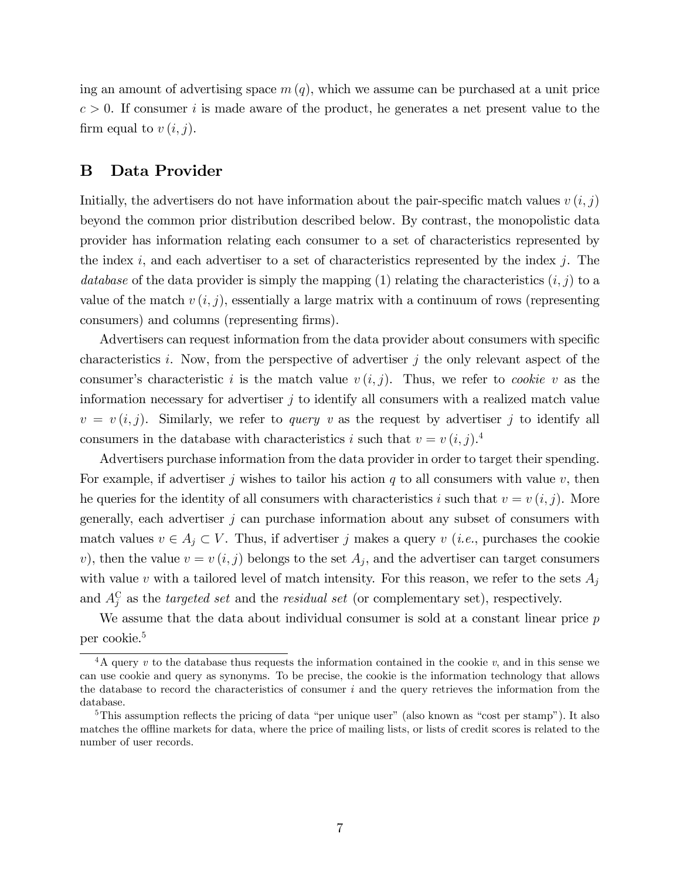ing an amount of advertising space  $m(q)$ , which we assume can be purchased at a unit price  $c > 0$ . If consumer i is made aware of the product, he generates a net present value to the firm equal to  $v(i, j)$ .

## B Data Provider

Initially, the advertisers do not have information about the pair-specific match values  $v(i, j)$ beyond the common prior distribution described below. By contrast, the monopolistic data provider has information relating each consumer to a set of characteristics represented by the index i, and each advertiser to a set of characteristics represented by the index j. The database of the data provider is simply the mapping  $(1)$  relating the characteristics  $(i, j)$  to a value of the match  $v(i, j)$ , essentially a large matrix with a continuum of rows (representing consumers) and columns (representing firms).

Advertisers can request information from the data provider about consumers with specific characteristics i. Now, from the perspective of advertiser  $j$  the only relevant aspect of the consumer's characteristic i is the match value  $v(i, j)$ . Thus, we refer to *cookie v* as the information necessary for advertiser  $j$  to identify all consumers with a realized match value  $v = v(i, j)$ . Similarly, we refer to *query* v as the request by advertiser j to identify all consumers in the database with characteristics i such that  $v = v(i, j)$ .

Advertisers purchase information from the data provider in order to target their spending. For example, if advertiser j wishes to tailor his action q to all consumers with value v, then he queries for the identity of all consumers with characteristics i such that  $v = v(i, j)$ . More generally, each advertiser  $j$  can purchase information about any subset of consumers with match values  $v \in A_j \subset V$ . Thus, if advertiser j makes a query v (*i.e.*, purchases the cookie v), then the value  $v = v(i, j)$  belongs to the set  $A_j$ , and the advertiser can target consumers with value v with a tailored level of match intensity. For this reason, we refer to the sets  $A_i$ and  $A_j^C$  as the *targeted set* and the *residual set* (or complementary set), respectively.

We assume that the data about individual consumer is sold at a constant linear price p per cookie.<sup>5</sup>

<sup>&</sup>lt;sup>4</sup>A query v to the database thus requests the information contained in the cookie v, and in this sense we can use cookie and query as synonyms. To be precise, the cookie is the information technology that allows the database to record the characteristics of consumer  $i$  and the query retrieves the information from the database.

<sup>&</sup>lt;sup>5</sup>This assumption reflects the pricing of data "per unique user" (also known as "cost per stamp"). It also matches the offline markets for data, where the price of mailing lists, or lists of credit scores is related to the number of user records.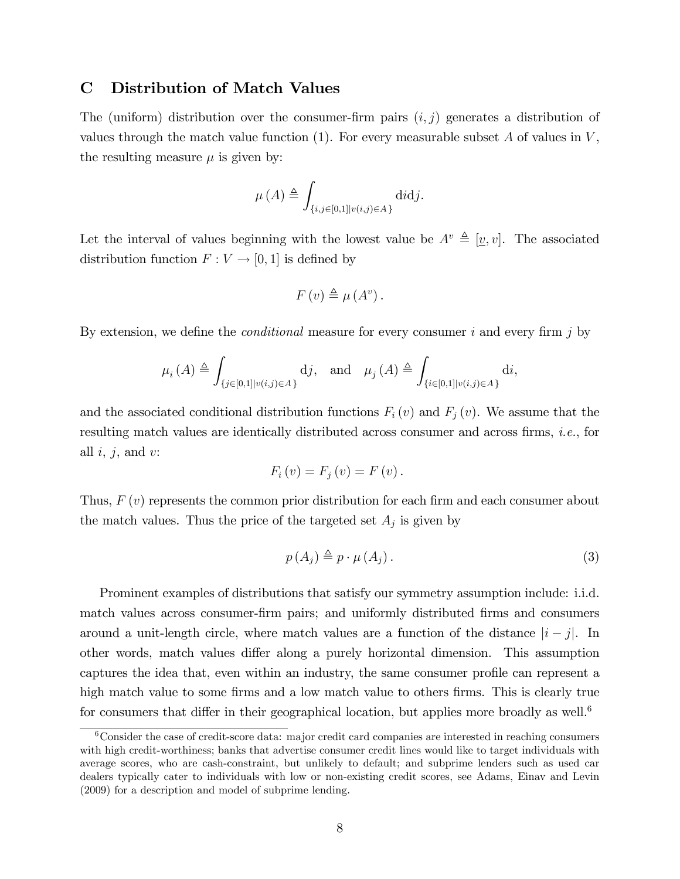### C Distribution of Match Values

The (uniform) distribution over the consumer-firm pairs  $(i, j)$  generates a distribution of values through the match value function  $(1)$ . For every measurable subset A of values in  $V$ , the resulting measure  $\mu$  is given by:

$$
\mu(A) \triangleq \int_{\{i,j\in[0,1]|v(i,j)\in A\}} \text{d}i\text{d}j.
$$

Let the interval of values beginning with the lowest value be  $A^v \triangleq [\underline{v}, v]$ . The associated distribution function  $F: V \to [0, 1]$  is defined by

$$
F(v) \triangleq \mu(A^v).
$$

By extension, we define the *conditional* measure for every consumer i and every firm j by

$$
\mu_i(A) \triangleq \int_{\{j \in [0,1] | v(i,j) \in A\}} \mathrm{d}j, \quad \text{and} \quad \mu_j(A) \triangleq \int_{\{i \in [0,1] | v(i,j) \in A\}} \mathrm{d}i,
$$

and the associated conditional distribution functions  $F_i(v)$  and  $F_j(v)$ . We assume that the resulting match values are identically distributed across consumer and across firms, *i.e.*, for all  $i, j$ , and  $v$ :

$$
F_i(v) = F_j(v) = F(v).
$$

Thus,  $F(v)$  represents the common prior distribution for each firm and each consumer about the match values. Thus the price of the targeted set  $A_j$  is given by

$$
p(A_j) \triangleq p \cdot \mu(A_j). \tag{3}
$$

Prominent examples of distributions that satisfy our symmetry assumption include: i.i.d. match values across consumer-firm pairs; and uniformly distributed firms and consumers around a unit-length circle, where match values are a function of the distance  $|i-j|$ . In other words, match values differ along a purely horizontal dimension. This assumption captures the idea that, even within an industry, the same consumer profile can represent a high match value to some firms and a low match value to others firms. This is clearly true for consumers that differ in their geographical location, but applies more broadly as well.<sup>6</sup>

<sup>6</sup>Consider the case of credit-score data: major credit card companies are interested in reaching consumers with high credit-worthiness; banks that advertise consumer credit lines would like to target individuals with average scores, who are cash-constraint, but unlikely to default; and subprime lenders such as used car dealers typically cater to individuals with low or non-existing credit scores, see Adams, Einav and Levin (2009) for a description and model of subprime lending.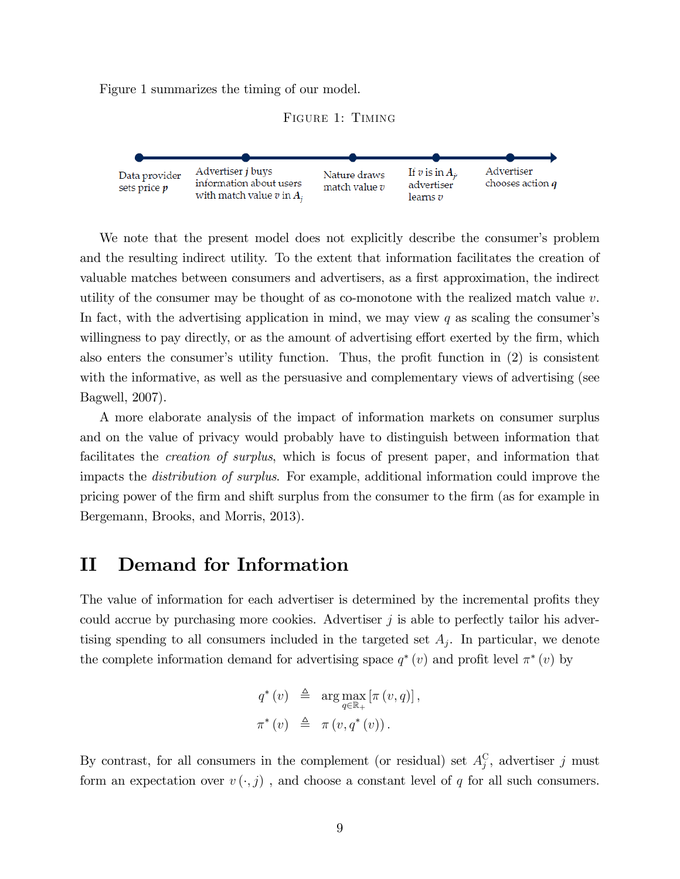Figure 1 summarizes the timing of our model.





We note that the present model does not explicitly describe the consumer's problem and the resulting indirect utility. To the extent that information facilitates the creation of valuable matches between consumers and advertisers, as a first approximation, the indirect utility of the consumer may be thought of as co-monotone with the realized match value  $v$ . In fact, with the advertising application in mind, we may view  $q$  as scaling the consumer's willingness to pay directly, or as the amount of advertising effort exerted by the firm, which also enters the consumer's utility function. Thus, the profit function in  $(2)$  is consistent with the informative, as well as the persuasive and complementary views of advertising (see Bagwell, 2007).

A more elaborate analysis of the impact of information markets on consumer surplus and on the value of privacy would probably have to distinguish between information that facilitates the creation of surplus, which is focus of present paper, and information that impacts the distribution of surplus. For example, additional information could improve the pricing power of the Örm and shift surplus from the consumer to the Örm (as for example in Bergemann, Brooks, and Morris, 2013).

## II Demand for Information

The value of information for each advertiser is determined by the incremental profits they could accrue by purchasing more cookies. Advertiser  $j$  is able to perfectly tailor his advertising spending to all consumers included in the targeted set  $A_j$ . In particular, we denote the complete information demand for advertising space  $q^*(v)$  and profit level  $\pi^*(v)$  by

$$
q^*(v) \triangleq \arg \max_{q \in \mathbb{R}_+} [\pi(v, q)],
$$
  

$$
\pi^*(v) \triangleq \pi(v, q^*(v)).
$$

By contrast, for all consumers in the complement (or residual) set  $A_j^{\rm C}$ , advertiser j must form an expectation over  $v(\cdot, j)$ , and choose a constant level of q for all such consumers.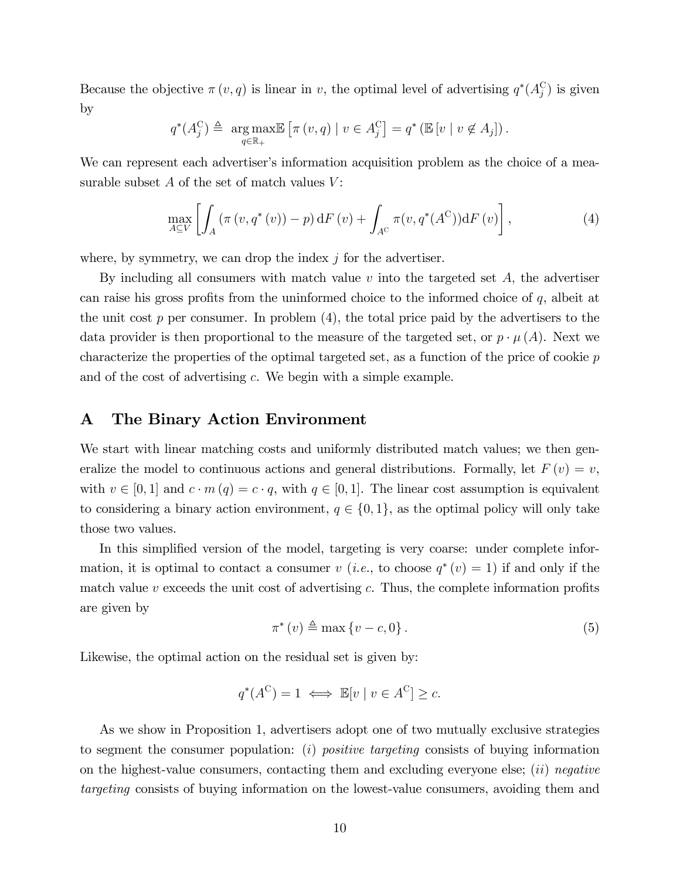Because the objective  $\pi(v, q)$  is linear in v, the optimal level of advertising  $q^*(A_j^{\circ})$  is given by

$$
q^*(A_j^C) \triangleq \underset{q \in \mathbb{R}_+}{\arg \max} \mathbb{E} \left[ \pi(v, q) \mid v \in A_j^C \right] = q^* \left( \mathbb{E} \left[ v \mid v \notin A_j \right] \right).
$$

We can represent each advertiser's information acquisition problem as the choice of a measurable subset  $A$  of the set of match values  $V$ :

$$
\max_{A \subseteq V} \left[ \int_A \left( \pi(v, q^*(v)) - p \right) dF(v) + \int_{A^C} \pi(v, q^*(A^C)) dF(v) \right],\tag{4}
$$

where, by symmetry, we can drop the index  $j$  for the advertiser.

By including all consumers with match value  $v$  into the targeted set  $A$ , the advertiser can raise his gross profits from the uninformed choice to the informed choice of  $q$ , albeit at the unit cost  $p$  per consumer. In problem  $(4)$ , the total price paid by the advertisers to the data provider is then proportional to the measure of the targeted set, or  $p \cdot \mu(A)$ . Next we characterize the properties of the optimal targeted set, as a function of the price of cookie p and of the cost of advertising c. We begin with a simple example.

### A The Binary Action Environment

We start with linear matching costs and uniformly distributed match values; we then generalize the model to continuous actions and general distributions. Formally, let  $F(v) = v$ , with  $v \in [0, 1]$  and  $c \cdot m (q) = c \cdot q$ , with  $q \in [0, 1]$ . The linear cost assumption is equivalent to considering a binary action environment,  $q \in \{0, 1\}$ , as the optimal policy will only take those two values.

In this simplified version of the model, targeting is very coarse: under complete information, it is optimal to contact a consumer v (*i.e.*, to choose  $q^*(v) = 1$ ) if and only if the match value v exceeds the unit cost of advertising c. Thus, the complete information profits are given by

$$
\pi^*(v) \triangleq \max\{v - c, 0\}.
$$
\n(5)

Likewise, the optimal action on the residual set is given by:

$$
q^*(A^C) = 1 \iff \mathbb{E}[v \mid v \in A^C] \ge c.
$$

As we show in Proposition 1, advertisers adopt one of two mutually exclusive strategies to segment the consumer population: (i) *positive targeting* consists of buying information on the highest-value consumers, contacting them and excluding everyone else; (ii) negative targeting consists of buying information on the lowest-value consumers, avoiding them and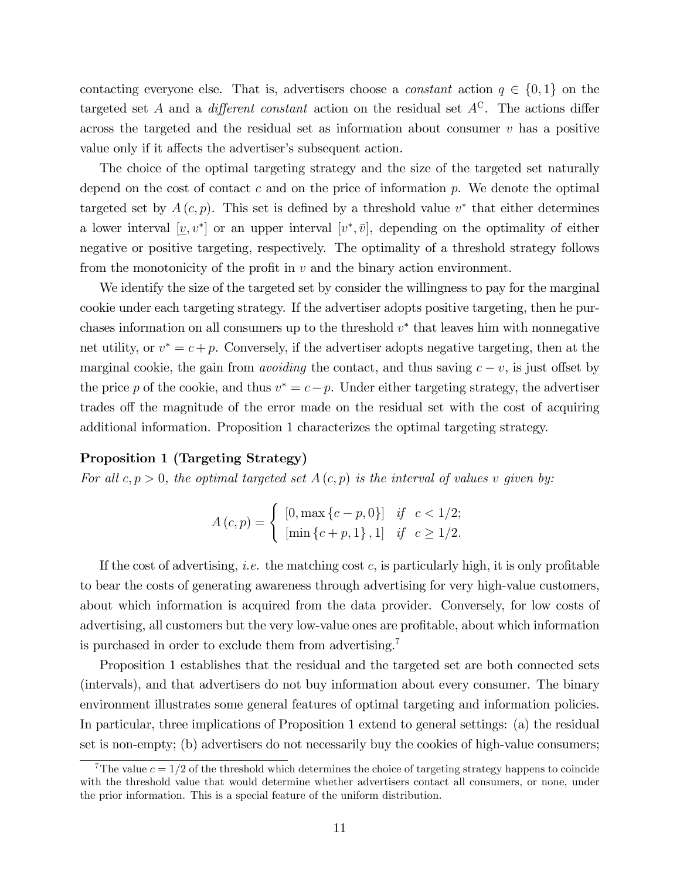contacting everyone else. That is, advertisers choose a *constant* action  $q \in \{0, 1\}$  on the targeted set A and a *different constant* action on the residual set  $A^C$ . The actions differ across the targeted and the residual set as information about consumer  $v$  has a positive value only if it affects the advertiser's subsequent action.

The choice of the optimal targeting strategy and the size of the targeted set naturally depend on the cost of contact  $c$  and on the price of information  $p$ . We denote the optimal targeted set by  $A(c, p)$ . This set is defined by a threshold value  $v^*$  that either determines a lower interval  $[\underline{v}, v^*]$  or an upper interval  $[v^*, \overline{v}]$ , depending on the optimality of either negative or positive targeting, respectively. The optimality of a threshold strategy follows from the monotonicity of the profit in  $v$  and the binary action environment.

We identify the size of the targeted set by consider the willingness to pay for the marginal cookie under each targeting strategy. If the advertiser adopts positive targeting, then he purchases information on all consumers up to the threshold  $v^*$  that leaves him with nonnegative net utility, or  $v^* = c + p$ . Conversely, if the advertiser adopts negative targeting, then at the marginal cookie, the gain from *avoiding* the contact, and thus saving  $c - v$ , is just offset by the price p of the cookie, and thus  $v^* = c - p$ . Under either targeting strategy, the advertiser trades of the magnitude of the error made on the residual set with the cost of acquiring additional information. Proposition 1 characterizes the optimal targeting strategy.

#### Proposition 1 (Targeting Strategy)

For all  $c, p > 0$ , the optimal targeted set  $A(c, p)$  is the interval of values v given by:

$$
A(c,p) = \begin{cases} [0, \max\{c-p, 0\}] & \text{if } c < 1/2; \\ [\min\{c+p, 1\}, 1] & \text{if } c \ge 1/2. \end{cases}
$$

If the cost of advertising, *i.e.* the matching cost c, is particularly high, it is only profitable to bear the costs of generating awareness through advertising for very high-value customers, about which information is acquired from the data provider. Conversely, for low costs of advertising, all customers but the very low-value ones are profitable, about which information is purchased in order to exclude them from advertising.<sup>7</sup>

Proposition 1 establishes that the residual and the targeted set are both connected sets (intervals), and that advertisers do not buy information about every consumer. The binary environment illustrates some general features of optimal targeting and information policies. In particular, three implications of Proposition 1 extend to general settings: (a) the residual set is non-empty; (b) advertisers do not necessarily buy the cookies of high-value consumers;

<sup>&</sup>lt;sup>7</sup>The value  $c = 1/2$  of the threshold which determines the choice of targeting strategy happens to coincide with the threshold value that would determine whether advertisers contact all consumers, or none, under the prior information. This is a special feature of the uniform distribution.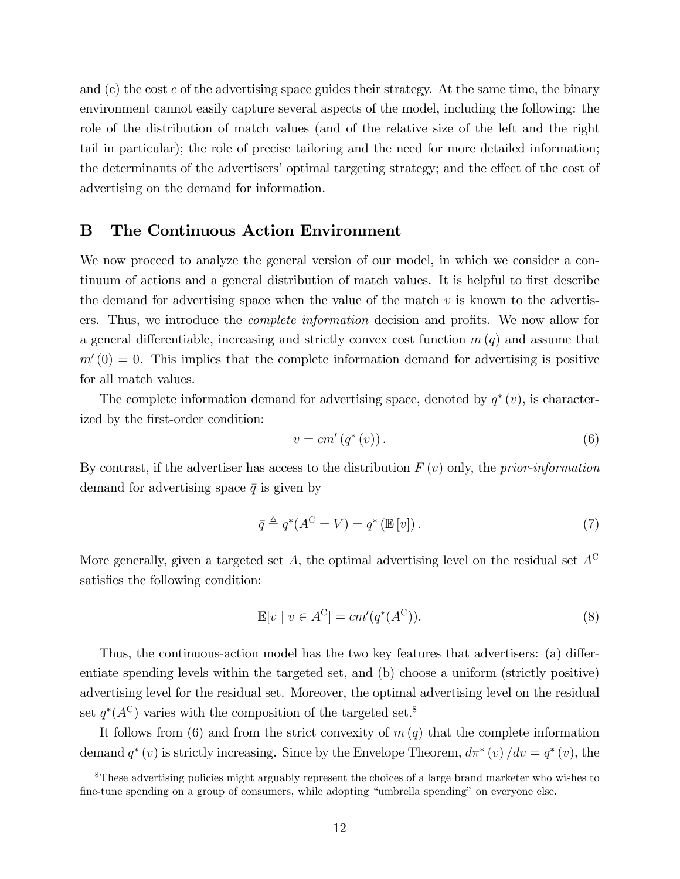and  $(c)$  the cost c of the advertising space guides their strategy. At the same time, the binary environment cannot easily capture several aspects of the model, including the following: the role of the distribution of match values (and of the relative size of the left and the right tail in particular); the role of precise tailoring and the need for more detailed information; the determinants of the advertisers' optimal targeting strategy; and the effect of the cost of advertising on the demand for information.

## B The Continuous Action Environment

We now proceed to analyze the general version of our model, in which we consider a continuum of actions and a general distribution of match values. It is helpful to first describe the demand for advertising space when the value of the match  $v$  is known to the advertisers. Thus, we introduce the *complete information* decision and profits. We now allow for a general differentiable, increasing and strictly convex cost function  $m(q)$  and assume that  $m'(0) = 0$ . This implies that the complete information demand for advertising is positive for all match values.

The complete information demand for advertising space, denoted by  $q^*(v)$ , is characterized by the first-order condition:

$$
v = cm'\left(q^*\left(v\right)\right). \tag{6}
$$

By contrast, if the advertiser has access to the distribution  $F(v)$  only, the prior-information demand for advertising space  $\bar{q}$  is given by

$$
\bar{q} \triangleq q^*(A^{\mathcal{C}} = V) = q^*(\mathbb{E}[v]). \tag{7}
$$

More generally, given a targeted set A, the optimal advertising level on the residual set  $A^C$ satisfies the following condition:

$$
\mathbb{E}[v \mid v \in A^{\mathcal{C}}] = cm'(q^*(A^{\mathcal{C}})).
$$
\n(8)

Thus, the continuous-action model has the two key features that advertisers: (a) differentiate spending levels within the targeted set, and (b) choose a uniform (strictly positive) advertising level for the residual set. Moreover, the optimal advertising level on the residual set  $q^*(A^C)$  varies with the composition of the targeted set.<sup>8</sup>

It follows from (6) and from the strict convexity of  $m(q)$  that the complete information demand  $q^*(v)$  is strictly increasing. Since by the Envelope Theorem,  $d\pi^*(v)/dv = q^*(v)$ , the

<sup>8</sup>These advertising policies might arguably represent the choices of a large brand marketer who wishes to fine-tune spending on a group of consumers, while adopting "umbrella spending" on everyone else.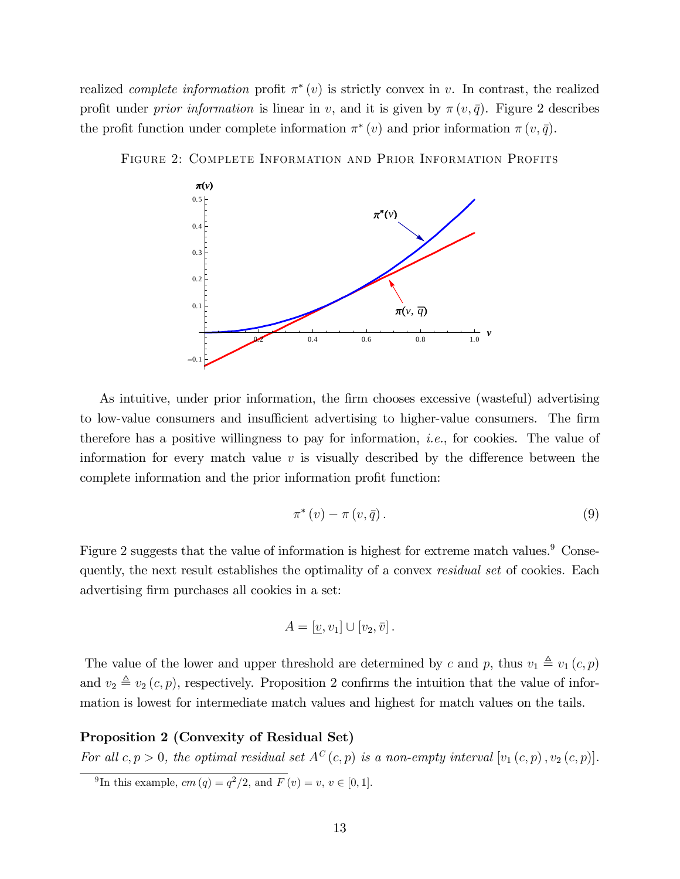realized *complete information* profit  $\pi^*(v)$  is strictly convex in v. In contrast, the realized profit under *prior information* is linear in v, and it is given by  $\pi(v, \bar{q})$ . Figure 2 describes the profit function under complete information  $\pi^*(v)$  and prior information  $\pi(v, \bar{q})$ .



Figure 2: Complete Information and Prior Information Profits

As intuitive, under prior information, the firm chooses excessive (wasteful) advertising to low-value consumers and insufficient advertising to higher-value consumers. The firm therefore has a positive willingness to pay for information, i.e., for cookies. The value of information for every match value  $v$  is visually described by the difference between the complete information and the prior information profit function:

$$
\pi^*(v) - \pi(v, \bar{q}). \tag{9}
$$

Figure 2 suggests that the value of information is highest for extreme match values.<sup>9</sup> Consequently, the next result establishes the optimality of a convex *residual set* of cookies. Each advertising firm purchases all cookies in a set:

$$
A = [\underline{v}, v_1] \cup [v_2, \overline{v}].
$$

The value of the lower and upper threshold are determined by c and p, thus  $v_1 \triangleq v_1 (c, p)$ and  $v_2 \triangleq v_2 (c, p)$ , respectively. Proposition 2 confirms the intuition that the value of information is lowest for intermediate match values and highest for match values on the tails.

### Proposition 2 (Convexity of Residual Set)

For all  $c, p > 0$ , the optimal residual set  $A^C(c, p)$  is a non-empty interval  $[v_1(c, p), v_2(c, p)]$ .

<sup>&</sup>lt;sup>9</sup>In this example,  $cm (q) = q^2/2$ , and  $F (v) = v, v \in [0, 1]$ .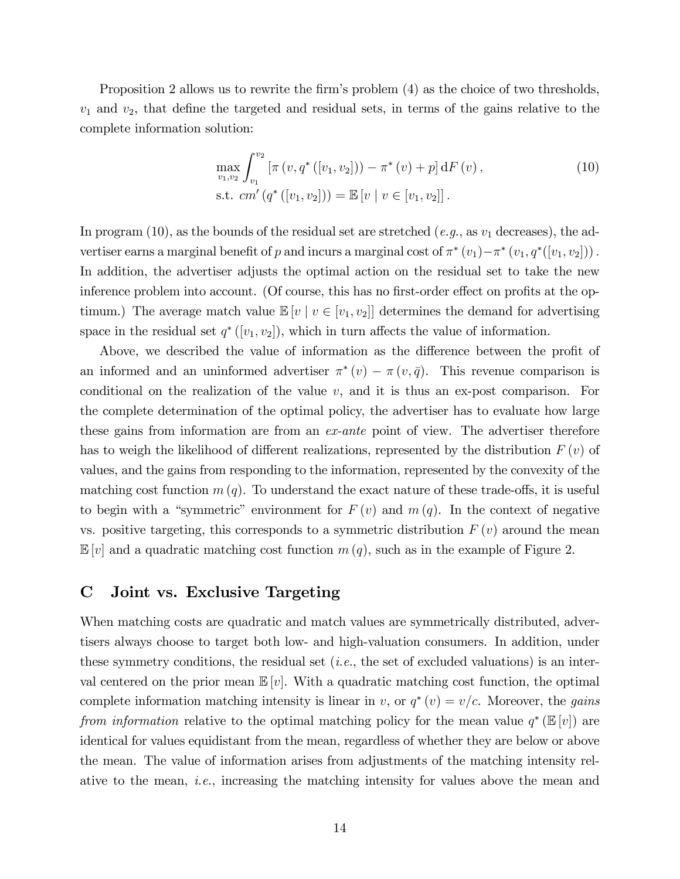Proposition 2 allows us to rewrite the firm's problem (4) as the choice of two thresholds,  $v_1$  and  $v_2$ , that define the targeted and residual sets, in terms of the gains relative to the complete information solution:

$$
\max_{v_1, v_2} \int_{v_1}^{v_2} \left[ \pi \left( v, q^* \left( [v_1, v_2] \right) \right) - \pi^* \left( v \right) + p \right] dF \left( v \right),\n\tag{10}
$$
\n
$$
\text{s.t. } cm' \left( q^* \left( [v_1, v_2] \right) \right) = \mathbb{E} \left[ v \mid v \in [v_1, v_2] \right].
$$

In program (10), as the bounds of the residual set are stretched (e.g., as  $v_1$  decreases), the advertiser earns a marginal benefit of p and incurs a marginal cost of  $\pi^*(v_1) - \pi^*(v_1, q^*([v_1, v_2]))$ . In addition, the advertiser adjusts the optimal action on the residual set to take the new inference problem into account. (Of course, this has no first-order effect on profits at the optimum.) The average match value  $\mathbb{E}[v \mid v \in [v_1, v_2]]$  determines the demand for advertising space in the residual set  $q^*([v_1, v_2])$ , which in turn affects the value of information.

Above, we described the value of information as the difference between the profit of an informed and an uninformed advertiser  $\pi^*(v) - \pi(v, \bar{q})$ . This revenue comparison is conditional on the realization of the value  $v$ , and it is thus an ex-post comparison. For the complete determination of the optimal policy, the advertiser has to evaluate how large these gains from information are from an ex-ante point of view. The advertiser therefore has to weigh the likelihood of different realizations, represented by the distribution  $F(v)$  of values, and the gains from responding to the information, represented by the convexity of the matching cost function  $m(q)$ . To understand the exact nature of these trade-offs, it is useful to begin with a "symmetric" environment for  $F(v)$  and  $m(q)$ . In the context of negative vs. positive targeting, this corresponds to a symmetric distribution  $F(v)$  around the mean  $\mathbb{E}[v]$  and a quadratic matching cost function  $m(q)$ , such as in the example of Figure 2.

## C Joint vs. Exclusive Targeting

When matching costs are quadratic and match values are symmetrically distributed, advertisers always choose to target both low- and high-valuation consumers. In addition, under these symmetry conditions, the residual set  $(i.e.,$  the set of excluded valuations) is an interval centered on the prior mean  $\mathbb{E}[v]$ . With a quadratic matching cost function, the optimal complete information matching intensity is linear in v, or  $q^*(v) = v/c$ . Moreover, the *gains* from information relative to the optimal matching policy for the mean value  $q^* (\mathbb{E}[v])$  are identical for values equidistant from the mean, regardless of whether they are below or above the mean. The value of information arises from adjustments of the matching intensity relative to the mean, *i.e.*, increasing the matching intensity for values above the mean and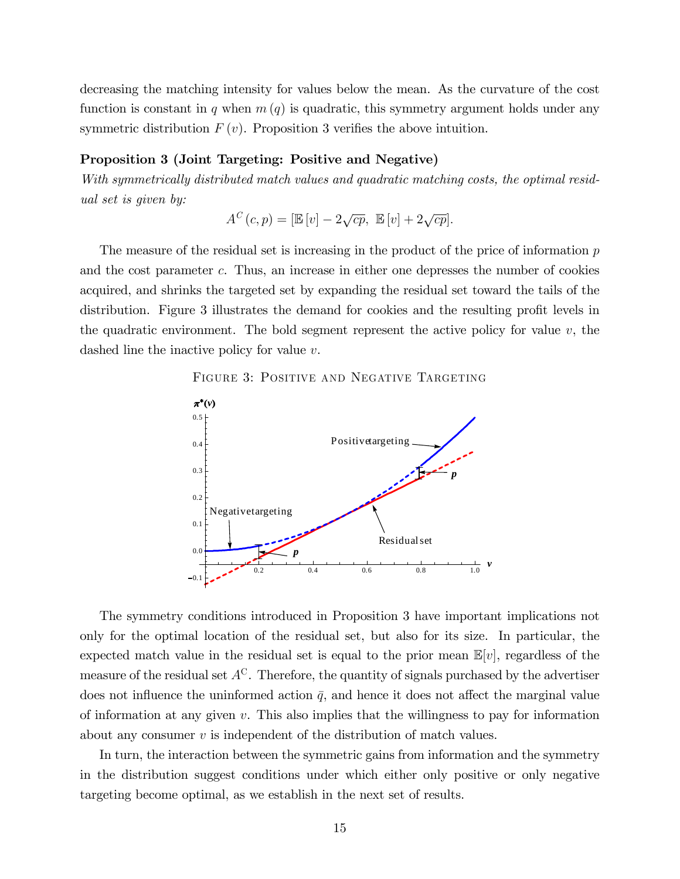decreasing the matching intensity for values below the mean. As the curvature of the cost function is constant in q when  $m(q)$  is quadratic, this symmetry argument holds under any symmetric distribution  $F(v)$ . Proposition 3 verifies the above intuition.

#### Proposition 3 (Joint Targeting: Positive and Negative)

With symmetrically distributed match values and quadratic matching costs, the optimal residual set is given by:

$$
A^{C}(c,p) = [\mathbb{E}[v] - 2\sqrt{cp}, \ \mathbb{E}[v] + 2\sqrt{cp}].
$$

The measure of the residual set is increasing in the product of the price of information  $p$ and the cost parameter c. Thus, an increase in either one depresses the number of cookies acquired, and shrinks the targeted set by expanding the residual set toward the tails of the distribution. Figure 3 illustrates the demand for cookies and the resulting profit levels in the quadratic environment. The bold segment represent the active policy for value  $v$ , the dashed line the inactive policy for value v.



Residualset

 $0.2$  0.4 0.6 0.8 1.0 *v* 

*p*

0.1

0.0

0.1

FIGURE 3: POSITIVE AND NEGATIVE TARGETING

The symmetry conditions introduced in Proposition 3 have important implications not only for the optimal location of the residual set, but also for its size. In particular, the expected match value in the residual set is equal to the prior mean  $\mathbb{E}[v]$ , regardless of the measure of the residual set  $A^C$ . Therefore, the quantity of signals purchased by the advertiser does not influence the uninformed action  $\bar{q}$ , and hence it does not affect the marginal value of information at any given  $v$ . This also implies that the willingness to pay for information about any consumer  $v$  is independent of the distribution of match values.

In turn, the interaction between the symmetric gains from information and the symmetry in the distribution suggest conditions under which either only positive or only negative targeting become optimal, as we establish in the next set of results.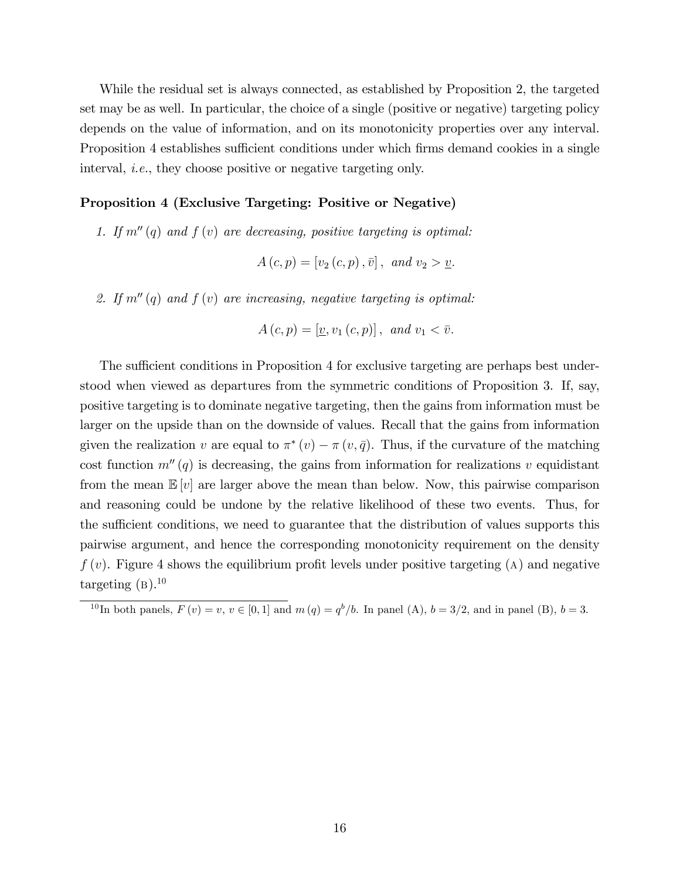While the residual set is always connected, as established by Proposition 2, the targeted set may be as well. In particular, the choice of a single (positive or negative) targeting policy depends on the value of information, and on its monotonicity properties over any interval. Proposition 4 establishes sufficient conditions under which firms demand cookies in a single interval, i.e., they choose positive or negative targeting only.

#### Proposition 4 (Exclusive Targeting: Positive or Negative)

1. If  $m''(q)$  and  $f(v)$  are decreasing, positive targeting is optimal:

$$
A(c, p) = [v_2(c, p), \bar{v}], and v_2 > \underline{v}.
$$

2. If  $m''(q)$  and  $f(v)$  are increasing, negative targeting is optimal:

$$
A(c, p) = [\underline{v}, v_1(c, p)], \text{ and } v_1 < \overline{v}.
$$

The sufficient conditions in Proposition 4 for exclusive targeting are perhaps best understood when viewed as departures from the symmetric conditions of Proposition 3. If, say, positive targeting is to dominate negative targeting, then the gains from information must be larger on the upside than on the downside of values. Recall that the gains from information given the realization v are equal to  $\pi^*(v) - \pi(v, \bar{q})$ . Thus, if the curvature of the matching cost function  $m''(q)$  is decreasing, the gains from information for realizations v equidistant from the mean  $\mathbb{E}[v]$  are larger above the mean than below. Now, this pairwise comparison and reasoning could be undone by the relative likelihood of these two events. Thus, for the sufficient conditions, we need to guarantee that the distribution of values supports this pairwise argument, and hence the corresponding monotonicity requirement on the density  $f(v)$ . Figure 4 shows the equilibrium profit levels under positive targeting (A) and negative targeting  $(B)$ .<sup>10</sup>

<sup>&</sup>lt;sup>10</sup>In both panels,  $F(v) = v, v \in [0, 1]$  and  $m(q) = q^b/b$ . In panel (A),  $b = 3/2$ , and in panel (B),  $b = 3$ .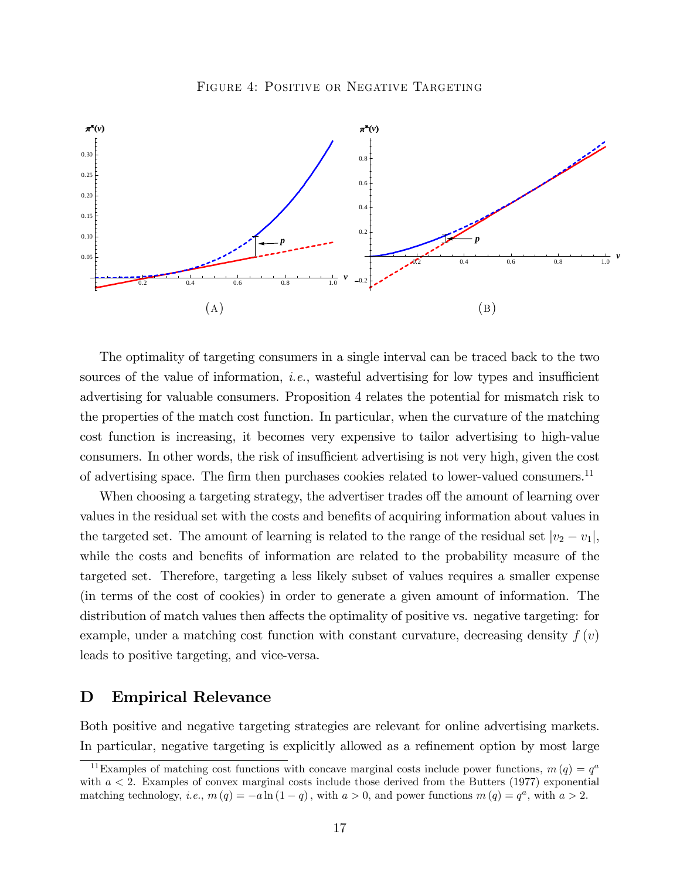

The optimality of targeting consumers in a single interval can be traced back to the two sources of the value of information, *i.e.*, wasteful advertising for low types and insufficient advertising for valuable consumers. Proposition 4 relates the potential for mismatch risk to the properties of the match cost function. In particular, when the curvature of the matching cost function is increasing, it becomes very expensive to tailor advertising to high-value consumers. In other words, the risk of insufficient advertising is not very high, given the cost of advertising space. The firm then purchases cookies related to lower-valued consumers.<sup>11</sup>

When choosing a targeting strategy, the advertiser trades off the amount of learning over values in the residual set with the costs and benefits of acquiring information about values in the targeted set. The amount of learning is related to the range of the residual set  $|v_2 - v_1|$ , while the costs and benefits of information are related to the probability measure of the targeted set. Therefore, targeting a less likely subset of values requires a smaller expense (in terms of the cost of cookies) in order to generate a given amount of information. The distribution of match values then affects the optimality of positive vs. negative targeting: for example, under a matching cost function with constant curvature, decreasing density  $f(v)$ leads to positive targeting, and vice-versa.

## D Empirical Relevance

Both positive and negative targeting strategies are relevant for online advertising markets. In particular, negative targeting is explicitly allowed as a refinement option by most large

<sup>&</sup>lt;sup>11</sup>Examples of matching cost functions with concave marginal costs include power functions,  $m(q) = q<sup>a</sup>$ with  $a < 2$ . Examples of convex marginal costs include those derived from the Butters (1977) exponential matching technology, *i.e.*,  $m(q) = -a \ln(1-q)$ , with  $a > 0$ , and power functions  $m(q) = q^a$ , with  $a > 2$ .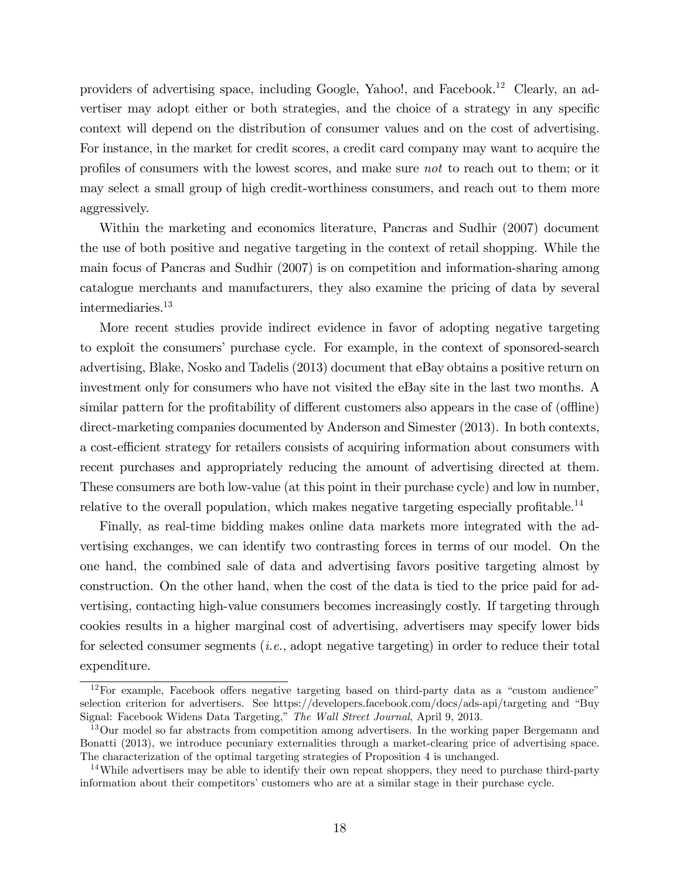providers of advertising space, including Google, Yahoo!, and Facebook.<sup>12</sup> Clearly, an advertiser may adopt either or both strategies, and the choice of a strategy in any specific context will depend on the distribution of consumer values and on the cost of advertising. For instance, in the market for credit scores, a credit card company may want to acquire the profiles of consumers with the lowest scores, and make sure not to reach out to them; or it may select a small group of high credit-worthiness consumers, and reach out to them more aggressively.

Within the marketing and economics literature, Pancras and Sudhir (2007) document the use of both positive and negative targeting in the context of retail shopping. While the main focus of Pancras and Sudhir (2007) is on competition and information-sharing among catalogue merchants and manufacturers, they also examine the pricing of data by several intermediaries.<sup>13</sup>

More recent studies provide indirect evidence in favor of adopting negative targeting to exploit the consumers' purchase cycle. For example, in the context of sponsored-search advertising, Blake, Nosko and Tadelis (2013) document that eBay obtains a positive return on investment only for consumers who have not visited the eBay site in the last two months. A similar pattern for the profitability of different customers also appears in the case of (offline) direct-marketing companies documented by Anderson and Simester (2013). In both contexts, a cost-efficient strategy for retailers consists of acquiring information about consumers with recent purchases and appropriately reducing the amount of advertising directed at them. These consumers are both low-value (at this point in their purchase cycle) and low in number, relative to the overall population, which makes negative targeting especially profitable.<sup>14</sup>

Finally, as real-time bidding makes online data markets more integrated with the advertising exchanges, we can identify two contrasting forces in terms of our model. On the one hand, the combined sale of data and advertising favors positive targeting almost by construction. On the other hand, when the cost of the data is tied to the price paid for advertising, contacting high-value consumers becomes increasingly costly. If targeting through cookies results in a higher marginal cost of advertising, advertisers may specify lower bids for selected consumer segments (*i.e.*, adopt negative targeting) in order to reduce their total expenditure.

 $12$  For example, Facebook offers negative targeting based on third-party data as a "custom audience" selection criterion for advertisers. See https://developers.facebook.com/docs/ads-api/targeting and "Buy Signal: Facebook Widens Data Targeting," The Wall Street Journal, April 9, 2013.

<sup>&</sup>lt;sup>13</sup>Our model so far abstracts from competition among advertisers. In the working paper Bergemann and Bonatti (2013), we introduce pecuniary externalities through a market-clearing price of advertising space. The characterization of the optimal targeting strategies of Proposition 4 is unchanged.

<sup>&</sup>lt;sup>14</sup>While advertisers may be able to identify their own repeat shoppers, they need to purchase third-party information about their competitors' customers who are at a similar stage in their purchase cycle.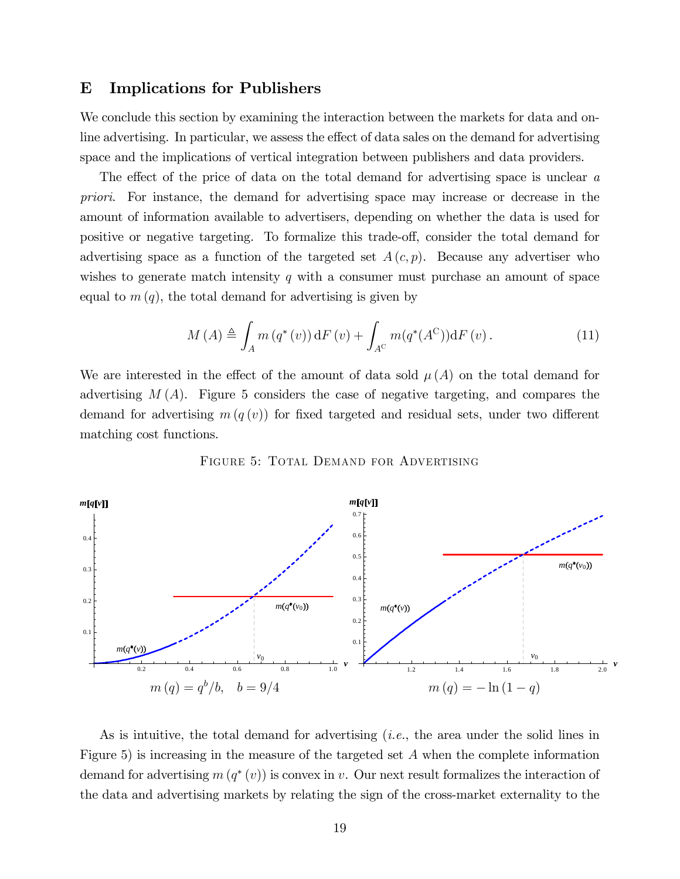### E Implications for Publishers

We conclude this section by examining the interaction between the markets for data and online advertising. In particular, we assess the effect of data sales on the demand for advertising space and the implications of vertical integration between publishers and data providers.

The effect of the price of data on the total demand for advertising space is unclear  $a$ priori. For instance, the demand for advertising space may increase or decrease in the amount of information available to advertisers, depending on whether the data is used for positive or negative targeting. To formalize this trade-off, consider the total demand for advertising space as a function of the targeted set  $A(c, p)$ . Because any advertiser who wishes to generate match intensity q with a consumer must purchase an amount of space equal to  $m(q)$ , the total demand for advertising is given by

$$
M(A) \triangleq \int_{A} m(q^*(v)) dF(v) + \int_{A^C} m(q^*(A^C)) dF(v).
$$
 (11)

We are interested in the effect of the amount of data sold  $\mu(A)$  on the total demand for advertising  $M(A)$ . Figure 5 considers the case of negative targeting, and compares the demand for advertising  $m(q(v))$  for fixed targeted and residual sets, under two different matching cost functions.

FIGURE 5: TOTAL DEMAND FOR ADVERTISING



As is intuitive, the total demand for advertising (i.e., the area under the solid lines in Figure 5) is increasing in the measure of the targeted set A when the complete information demand for advertising  $m(q^*(v))$  is convex in v. Our next result formalizes the interaction of the data and advertising markets by relating the sign of the cross-market externality to the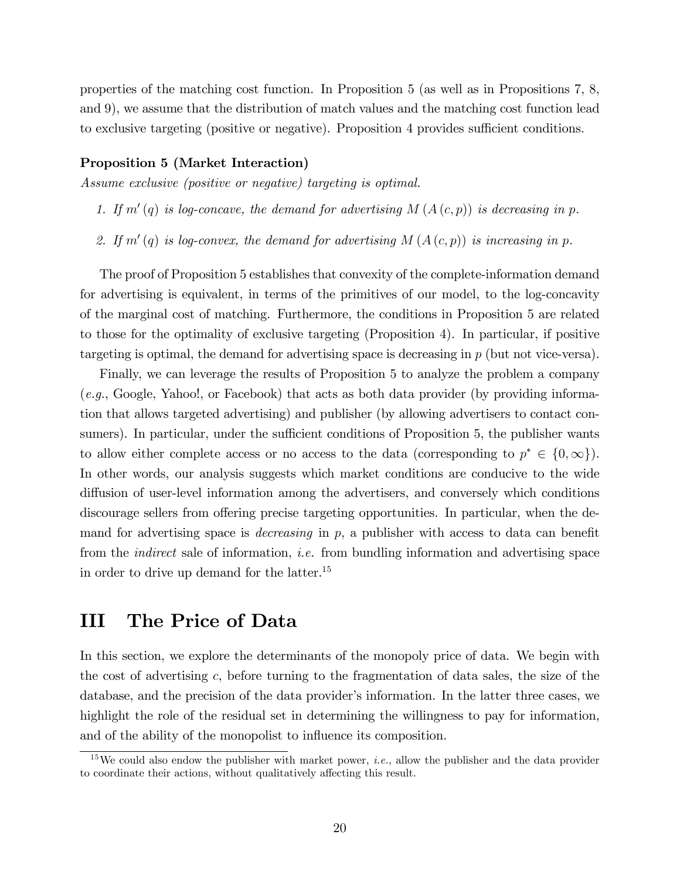properties of the matching cost function. In Proposition 5 (as well as in Propositions 7, 8, and 9), we assume that the distribution of match values and the matching cost function lead to exclusive targeting (positive or negative). Proposition 4 provides sufficient conditions.

#### Proposition 5 (Market Interaction)

Assume exclusive (positive or negative) targeting is optimal.

- 1. If  $m'(q)$  is log-concave, the demand for advertising  $M(A(c, p))$  is decreasing in p.
- 2. If  $m'(q)$  is log-convex, the demand for advertising  $M(A(c, p))$  is increasing in p.

The proof of Proposition 5 establishes that convexity of the complete-information demand for advertising is equivalent, in terms of the primitives of our model, to the log-concavity of the marginal cost of matching. Furthermore, the conditions in Proposition 5 are related to those for the optimality of exclusive targeting (Proposition 4). In particular, if positive targeting is optimal, the demand for advertising space is decreasing in  $p$  (but not vice-versa).

Finally, we can leverage the results of Proposition 5 to analyze the problem a company  $(e.g., Google, Yahoo!, or Facebook)$  that acts as both data provider (by providing information that allows targeted advertising) and publisher (by allowing advertisers to contact consumers). In particular, under the sufficient conditions of Proposition 5, the publisher wants to allow either complete access or no access to the data (corresponding to  $p^* \in \{0, \infty\}$ ). In other words, our analysis suggests which market conditions are conducive to the wide diffusion of user-level information among the advertisers, and conversely which conditions discourage sellers from offering precise targeting opportunities. In particular, when the demand for advertising space is *decreasing* in  $p$ , a publisher with access to data can benefit from the *indirect* sale of information, *i.e.* from bundling information and advertising space in order to drive up demand for the latter.<sup>15</sup>

## III The Price of Data

In this section, we explore the determinants of the monopoly price of data. We begin with the cost of advertising c, before turning to the fragmentation of data sales, the size of the database, and the precision of the data provider's information. In the latter three cases, we highlight the role of the residual set in determining the willingness to pay for information, and of the ability of the monopolist to influence its composition.

<sup>&</sup>lt;sup>15</sup>We could also endow the publisher with market power, *i.e.*, allow the publisher and the data provider to coordinate their actions, without qualitatively affecting this result.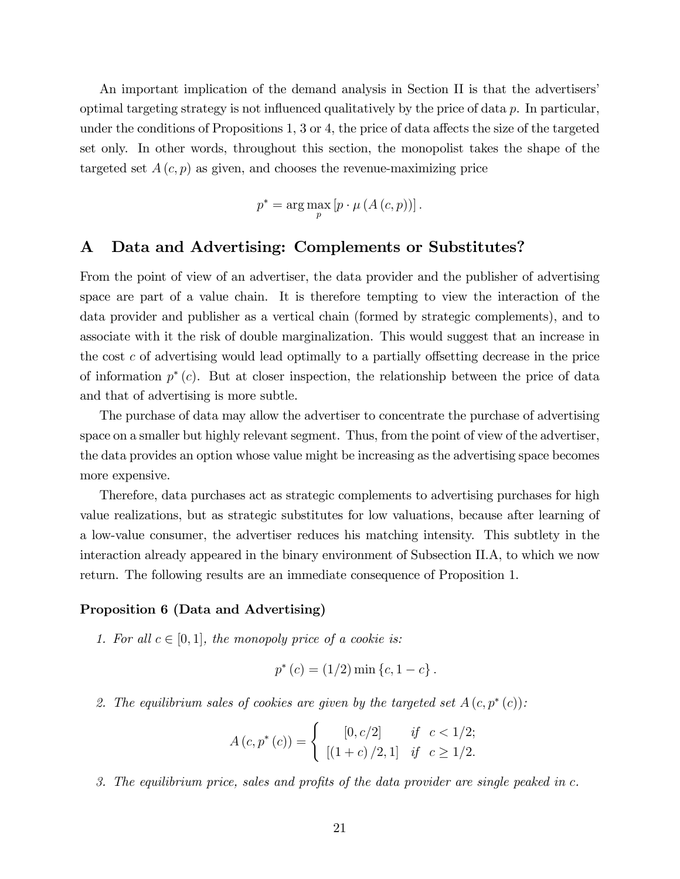An important implication of the demand analysis in Section II is that the advertisers' optimal targeting strategy is not influenced qualitatively by the price of data  $p$ . In particular, under the conditions of Propositions 1, 3 or 4, the price of data affects the size of the targeted set only. In other words, throughout this section, the monopolist takes the shape of the targeted set  $A(c, p)$  as given, and chooses the revenue-maximizing price

$$
p^* = \arg\max_p \left[ p \cdot \mu \left( A\left( c, p \right) \right) \right].
$$

### A Data and Advertising: Complements or Substitutes?

From the point of view of an advertiser, the data provider and the publisher of advertising space are part of a value chain. It is therefore tempting to view the interaction of the data provider and publisher as a vertical chain (formed by strategic complements), and to associate with it the risk of double marginalization. This would suggest that an increase in the cost c of advertising would lead optimally to a partially offsetting decrease in the price of information  $p^*(c)$ . But at closer inspection, the relationship between the price of data and that of advertising is more subtle.

The purchase of data may allow the advertiser to concentrate the purchase of advertising space on a smaller but highly relevant segment. Thus, from the point of view of the advertiser, the data provides an option whose value might be increasing as the advertising space becomes more expensive.

Therefore, data purchases act as strategic complements to advertising purchases for high value realizations, but as strategic substitutes for low valuations, because after learning of a low-value consumer, the advertiser reduces his matching intensity. This subtlety in the interaction already appeared in the binary environment of Subsection II.A, to which we now return. The following results are an immediate consequence of Proposition 1.

#### Proposition 6 (Data and Advertising)

1. For all  $c \in [0, 1]$ , the monopoly price of a cookie is:

$$
p^*(c) = (1/2) \min \{c, 1 - c\}.
$$

2. The equilibrium sales of cookies are given by the targeted set  $A(c, p^*(c))$ :

$$
A(c, p^{*}(c)) = \begin{cases} [0, c/2] & \text{if } c < 1/2; \\ [(1 + c) / 2, 1] & \text{if } c \ge 1/2. \end{cases}
$$

3. The equilibrium price, sales and profits of the data provider are single peaked in  $c$ .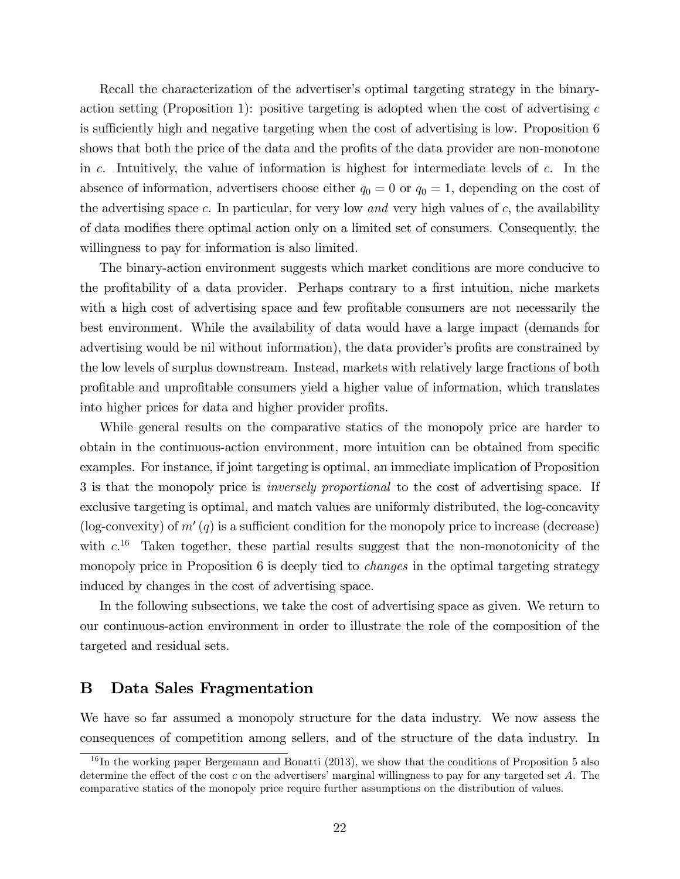Recall the characterization of the advertiser's optimal targeting strategy in the binaryaction setting (Proposition 1): positive targeting is adopted when the cost of advertising  $c$ is sufficiently high and negative targeting when the cost of advertising is low. Proposition 6 shows that both the price of the data and the profits of the data provider are non-monotone in c. Intuitively, the value of information is highest for intermediate levels of c. In the absence of information, advertisers choose either  $q_0 = 0$  or  $q_0 = 1$ , depending on the cost of the advertising space c. In particular, for very low and very high values of  $c$ , the availability of data modifies there optimal action only on a limited set of consumers. Consequently, the willingness to pay for information is also limited.

The binary-action environment suggests which market conditions are more conducive to the profitability of a data provider. Perhaps contrary to a first intuition, niche markets with a high cost of advertising space and few profitable consumers are not necessarily the best environment. While the availability of data would have a large impact (demands for advertising would be nil without information), the data provider's profits are constrained by the low levels of surplus downstream. Instead, markets with relatively large fractions of both proÖtable and unproÖtable consumers yield a higher value of information, which translates into higher prices for data and higher provider profits.

While general results on the comparative statics of the monopoly price are harder to obtain in the continuous-action environment, more intuition can be obtained from specific examples. For instance, if joint targeting is optimal, an immediate implication of Proposition 3 is that the monopoly price is inversely proportional to the cost of advertising space. If exclusive targeting is optimal, and match values are uniformly distributed, the log-concavity (log-convexity) of  $m'(q)$  is a sufficient condition for the monopoly price to increase (decrease) with  $c^{16}$  Taken together, these partial results suggest that the non-monotonicity of the monopoly price in Proposition 6 is deeply tied to *changes* in the optimal targeting strategy induced by changes in the cost of advertising space.

In the following subsections, we take the cost of advertising space as given. We return to our continuous-action environment in order to illustrate the role of the composition of the targeted and residual sets.

## B Data Sales Fragmentation

We have so far assumed a monopoly structure for the data industry. We now assess the consequences of competition among sellers, and of the structure of the data industry. In

 $16$ In the working paper Bergemann and Bonatti (2013), we show that the conditions of Proposition 5 also determine the effect of the cost c on the advertisers' marginal willingness to pay for any targeted set  $A$ . The comparative statics of the monopoly price require further assumptions on the distribution of values.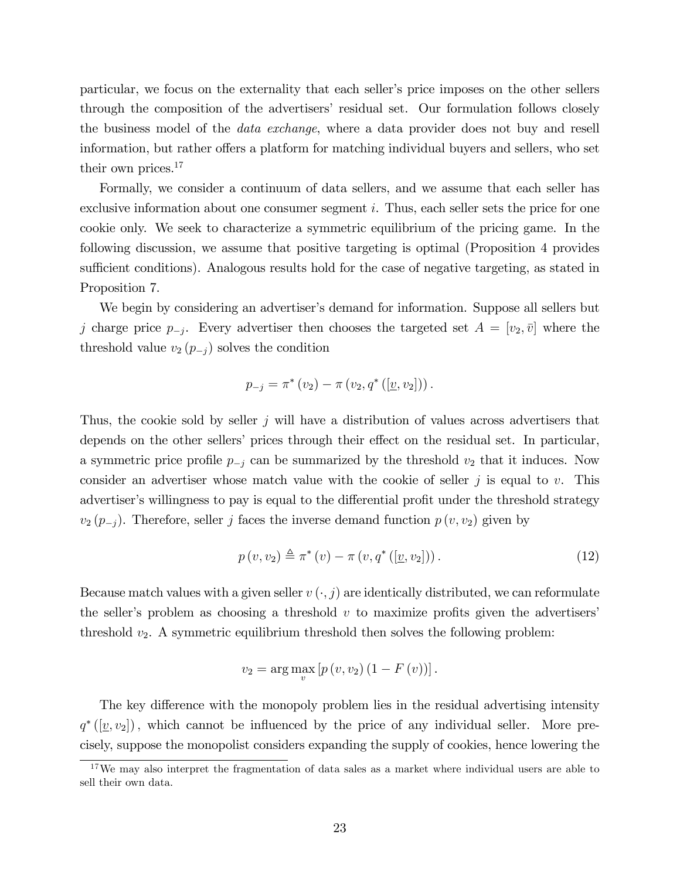particular, we focus on the externality that each seller's price imposes on the other sellers through the composition of the advertisersí residual set. Our formulation follows closely the business model of the data exchange, where a data provider does not buy and resell information, but rather offers a platform for matching individual buyers and sellers, who set their own prices.<sup>17</sup>

Formally, we consider a continuum of data sellers, and we assume that each seller has exclusive information about one consumer segment i. Thus, each seller sets the price for one cookie only. We seek to characterize a symmetric equilibrium of the pricing game. In the following discussion, we assume that positive targeting is optimal (Proposition 4 provides sufficient conditions). Analogous results hold for the case of negative targeting, as stated in Proposition 7.

We begin by considering an advertiser's demand for information. Suppose all sellers but j charge price  $p_{-j}$ . Every advertiser then chooses the targeted set  $A = [v_2, \bar{v}]$  where the threshold value  $v_2$   $(p_{-i})$  solves the condition

$$
p_{-j} = \pi^* (v_2) - \pi (v_2, q^* ([\underline{v}, v_2]) ).
$$

Thus, the cookie sold by seller  $j$  will have a distribution of values across advertisers that depends on the other sellers' prices through their effect on the residual set. In particular, a symmetric price profile  $p_{-i}$  can be summarized by the threshold  $v_2$  that it induces. Now consider an advertiser whose match value with the cookie of seller  $j$  is equal to  $v$ . This advertiser's willingness to pay is equal to the differential profit under the threshold strategy  $v_2$  ( $p_{-j}$ ). Therefore, seller j faces the inverse demand function  $p(v, v_2)$  given by

$$
p(v, v_2) \triangleq \pi^*(v) - \pi(v, q^*([\underline{v}, v_2]))
$$
\n
$$
(12)
$$

Because match values with a given seller  $v(\cdot, j)$  are identically distributed, we can reformulate the seller's problem as choosing a threshold  $v$  to maximize profits given the advertisers' threshold  $v_2$ . A symmetric equilibrium threshold then solves the following problem:

$$
v_2 = \arg \max_{v} [p(v, v_2) (1 - F(v))].
$$

The key difference with the monopoly problem lies in the residual advertising intensity  $q^*([\underline{v}, v_2])$ , which cannot be influenced by the price of any individual seller. More precisely, suppose the monopolist considers expanding the supply of cookies, hence lowering the

<sup>&</sup>lt;sup>17</sup>We may also interpret the fragmentation of data sales as a market where individual users are able to sell their own data.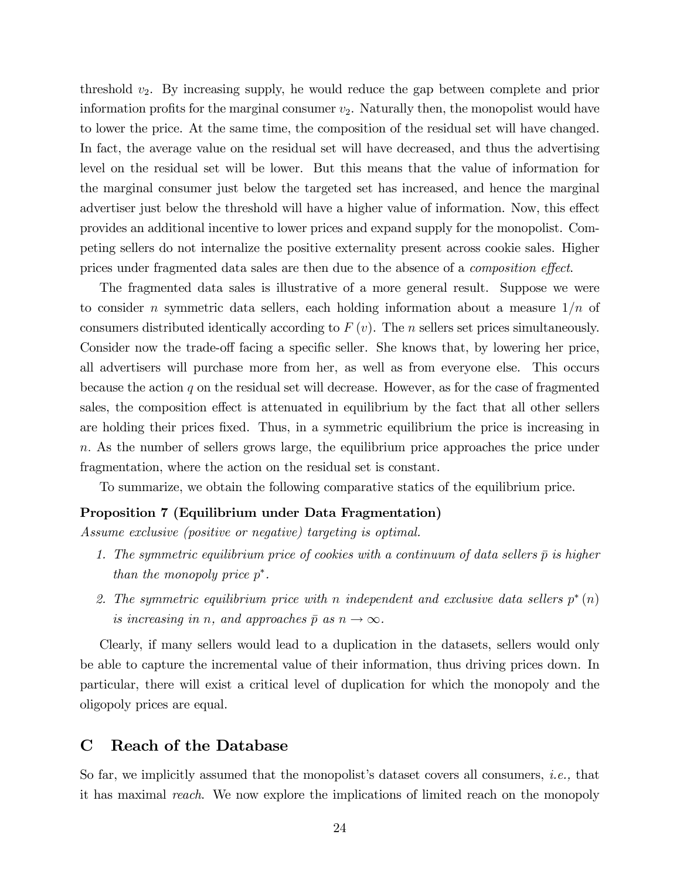threshold  $v_2$ . By increasing supply, he would reduce the gap between complete and prior information profits for the marginal consumer  $v_2$ . Naturally then, the monopolist would have to lower the price. At the same time, the composition of the residual set will have changed. In fact, the average value on the residual set will have decreased, and thus the advertising level on the residual set will be lower. But this means that the value of information for the marginal consumer just below the targeted set has increased, and hence the marginal advertiser just below the threshold will have a higher value of information. Now, this effect provides an additional incentive to lower prices and expand supply for the monopolist. Competing sellers do not internalize the positive externality present across cookie sales. Higher prices under fragmented data sales are then due to the absence of a *composition effect*.

The fragmented data sales is illustrative of a more general result. Suppose we were to consider n symmetric data sellers, each holding information about a measure  $1/n$  of consumers distributed identically according to  $F(v)$ . The *n* sellers set prices simultaneously. Consider now the trade-off facing a specific seller. She knows that, by lowering her price, all advertisers will purchase more from her, as well as from everyone else. This occurs because the action  $q$  on the residual set will decrease. However, as for the case of fragmented sales, the composition effect is attenuated in equilibrium by the fact that all other sellers are holding their prices fixed. Thus, in a symmetric equilibrium the price is increasing in n: As the number of sellers grows large, the equilibrium price approaches the price under fragmentation, where the action on the residual set is constant.

To summarize, we obtain the following comparative statics of the equilibrium price.

#### Proposition 7 (Equilibrium under Data Fragmentation)

Assume exclusive (positive or negative) targeting is optimal.

- 1. The symmetric equilibrium price of cookies with a continuum of data sellers  $\bar{p}$  is higher than the monopoly price  $p^*$ .
- 2. The symmetric equilibrium price with n independent and exclusive data sellers  $p^*(n)$ is increasing in n, and approaches  $\bar{p}$  as  $n \to \infty$ .

Clearly, if many sellers would lead to a duplication in the datasets, sellers would only be able to capture the incremental value of their information, thus driving prices down. In particular, there will exist a critical level of duplication for which the monopoly and the oligopoly prices are equal.

### C Reach of the Database

So far, we implicitly assumed that the monopolist's dataset covers all consumers, *i.e.*, that it has maximal reach. We now explore the implications of limited reach on the monopoly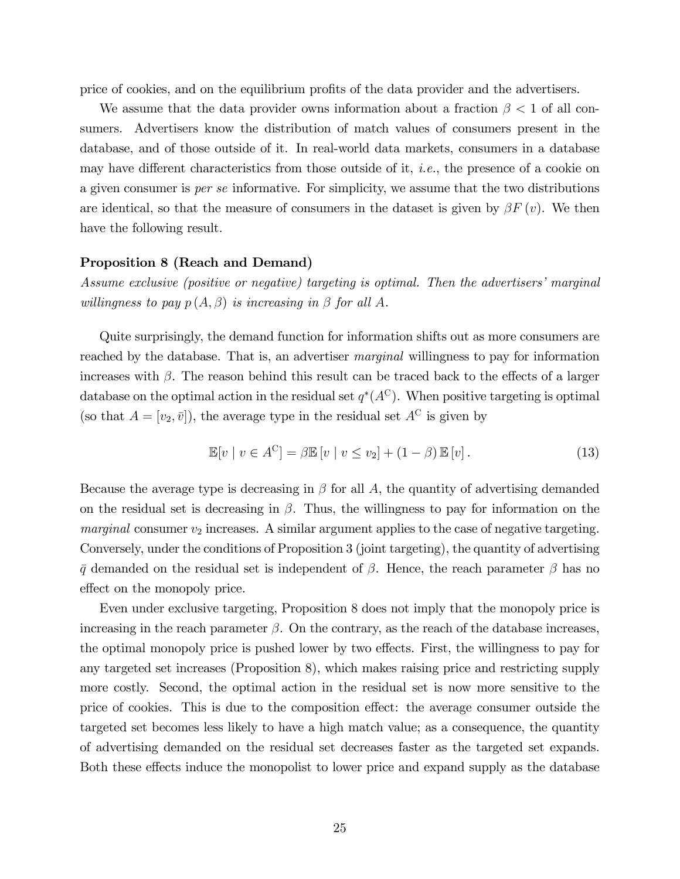price of cookies, and on the equilibrium profits of the data provider and the advertisers.

We assume that the data provider owns information about a fraction  $\beta < 1$  of all consumers. Advertisers know the distribution of match values of consumers present in the database, and of those outside of it. In real-world data markets, consumers in a database may have different characteristics from those outside of it, *i.e.*, the presence of a cookie on a given consumer is per se informative. For simplicity, we assume that the two distributions are identical, so that the measure of consumers in the dataset is given by  $\beta F(v)$ . We then have the following result.

#### Proposition 8 (Reach and Demand)

Assume exclusive (positive or negative) targeting is optimal. Then the advertisers' marginal willingness to pay  $p(A, \beta)$  is increasing in  $\beta$  for all A.

Quite surprisingly, the demand function for information shifts out as more consumers are reached by the database. That is, an advertiser marginal willingness to pay for information increases with  $\beta$ . The reason behind this result can be traced back to the effects of a larger database on the optimal action in the residual set  $q^*(A^C)$ . When positive targeting is optimal (so that  $A = [v_2, \bar{v}]$ ), the average type in the residual set  $A^C$  is given by

$$
\mathbb{E}[v \mid v \in A^C] = \beta \mathbb{E}[v \mid v \le v_2] + (1 - \beta) \mathbb{E}[v]. \tag{13}
$$

Because the average type is decreasing in  $\beta$  for all A, the quantity of advertising demanded on the residual set is decreasing in  $\beta$ . Thus, the willingness to pay for information on the marginal consumer  $v_2$  increases. A similar argument applies to the case of negative targeting. Conversely, under the conditions of Proposition 3 (joint targeting), the quantity of advertising  $\bar{q}$  demanded on the residual set is independent of  $\beta$ . Hence, the reach parameter  $\beta$  has no effect on the monopoly price.

Even under exclusive targeting, Proposition 8 does not imply that the monopoly price is increasing in the reach parameter  $\beta$ . On the contrary, as the reach of the database increases, the optimal monopoly price is pushed lower by two effects. First, the willingness to pay for any targeted set increases (Proposition 8), which makes raising price and restricting supply more costly. Second, the optimal action in the residual set is now more sensitive to the price of cookies. This is due to the composition effect: the average consumer outside the targeted set becomes less likely to have a high match value; as a consequence, the quantity of advertising demanded on the residual set decreases faster as the targeted set expands. Both these effects induce the monopolist to lower price and expand supply as the database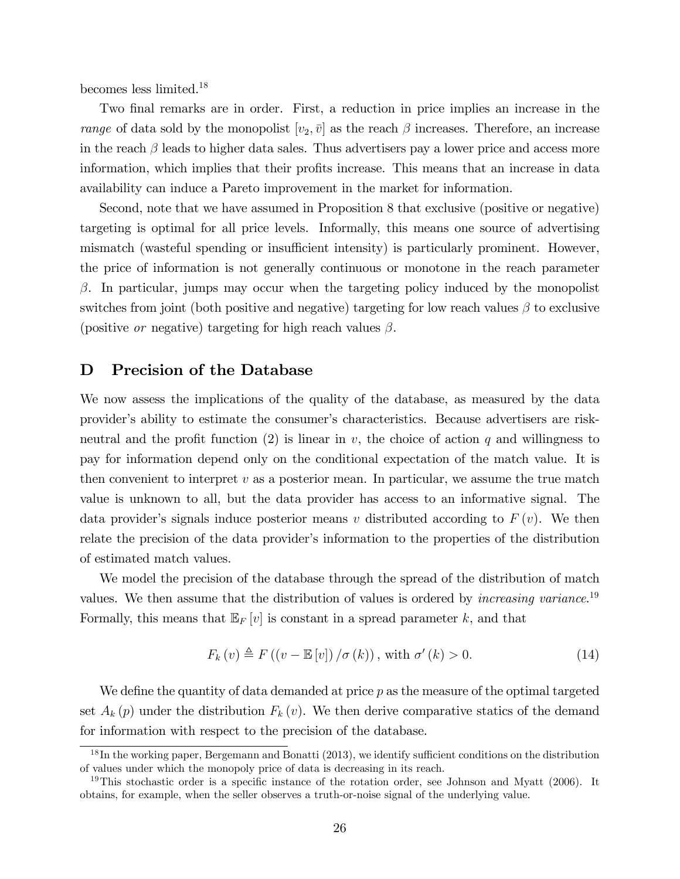becomes less limited.<sup>18</sup>

Two final remarks are in order. First, a reduction in price implies an increase in the range of data sold by the monopolist  $[v_2, \bar{v}]$  as the reach  $\beta$  increases. Therefore, an increase in the reach  $\beta$  leads to higher data sales. Thus advertisers pay a lower price and access more information, which implies that their profits increase. This means that an increase in data availability can induce a Pareto improvement in the market for information.

Second, note that we have assumed in Proposition 8 that exclusive (positive or negative) targeting is optimal for all price levels. Informally, this means one source of advertising mismatch (wasteful spending or insufficient intensity) is particularly prominent. However, the price of information is not generally continuous or monotone in the reach parameter  $\beta$ . In particular, jumps may occur when the targeting policy induced by the monopolist switches from joint (both positive and negative) targeting for low reach values  $\beta$  to exclusive (positive *or* negative) targeting for high reach values  $\beta$ .

### D Precision of the Database

We now assess the implications of the quality of the database, as measured by the data providerís ability to estimate the consumerís characteristics. Because advertisers are riskneutral and the profit function (2) is linear in  $v$ , the choice of action q and willingness to pay for information depend only on the conditional expectation of the match value. It is then convenient to interpret  $v$  as a posterior mean. In particular, we assume the true match value is unknown to all, but the data provider has access to an informative signal. The data provider's signals induce posterior means v distributed according to  $F(v)$ . We then relate the precision of the data provider's information to the properties of the distribution of estimated match values.

We model the precision of the database through the spread of the distribution of match values. We then assume that the distribution of values is ordered by *increasing variance*.<sup>19</sup> Formally, this means that  $\mathbb{E}_F[v]$  is constant in a spread parameter k, and that

$$
F_k(v) \triangleq F((v - \mathbb{E}[v]) / \sigma(k)), \text{ with } \sigma'(k) > 0.
$$
 (14)

We define the quantity of data demanded at price  $p$  as the measure of the optimal targeted set  $A_k(p)$  under the distribution  $F_k(v)$ . We then derive comparative statics of the demand for information with respect to the precision of the database.

 $18$  In the working paper, Bergemann and Bonatti (2013), we identify sufficient conditions on the distribution of values under which the monopoly price of data is decreasing in its reach.

<sup>&</sup>lt;sup>19</sup>This stochastic order is a specific instance of the rotation order, see Johnson and Myatt (2006). It obtains, for example, when the seller observes a truth-or-noise signal of the underlying value.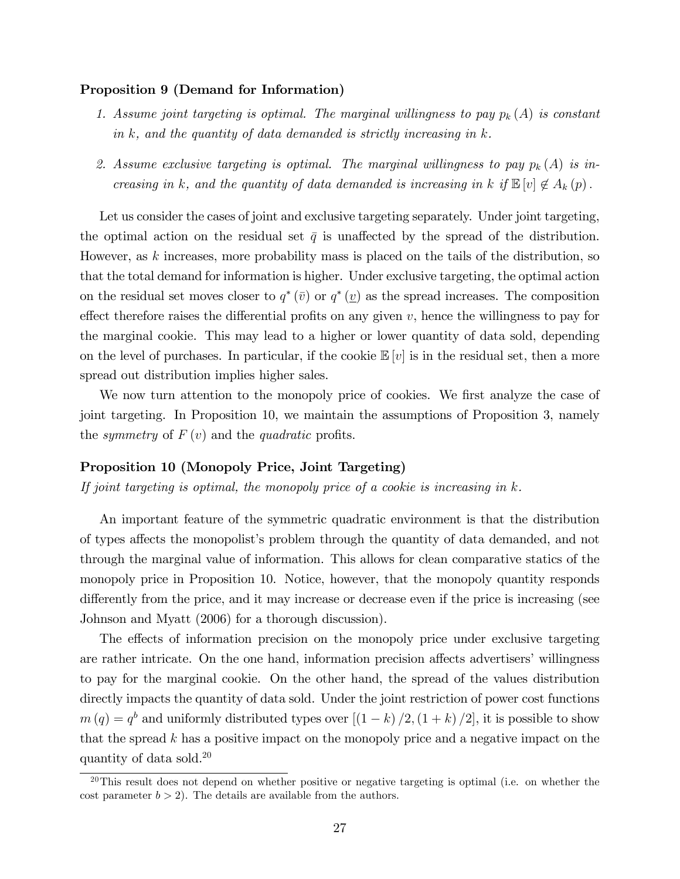#### Proposition 9 (Demand for Information)

- 1. Assume joint targeting is optimal. The marginal willingness to pay  $p_k(A)$  is constant in  $k$ , and the quantity of data demanded is strictly increasing in  $k$ .
- 2. Assume exclusive targeting is optimal. The marginal willingness to pay  $p_k(A)$  is increasing in k, and the quantity of data demanded is increasing in k if  $\mathbb{E}[v] \notin A_k(p)$ .

Let us consider the cases of joint and exclusive targeting separately. Under joint targeting, the optimal action on the residual set  $\bar{q}$  is unaffected by the spread of the distribution. However, as  $k$  increases, more probability mass is placed on the tails of the distribution, so that the total demand for information is higher. Under exclusive targeting, the optimal action on the residual set moves closer to  $q^*(\bar{v})$  or  $q^*(\underline{v})$  as the spread increases. The composition effect therefore raises the differential profits on any given  $v$ , hence the willingness to pay for the marginal cookie. This may lead to a higher or lower quantity of data sold, depending on the level of purchases. In particular, if the cookie  $\mathbb{E}[v]$  is in the residual set, then a more spread out distribution implies higher sales.

We now turn attention to the monopoly price of cookies. We first analyze the case of joint targeting. In Proposition 10, we maintain the assumptions of Proposition 3, namely the symmetry of  $F(v)$  and the quadratic profits.

#### Proposition 10 (Monopoly Price, Joint Targeting)

If joint targeting is optimal, the monopoly price of a cookie is increasing in  $k$ .

An important feature of the symmetric quadratic environment is that the distribution of types affects the monopolist's problem through the quantity of data demanded, and not through the marginal value of information. This allows for clean comparative statics of the monopoly price in Proposition 10. Notice, however, that the monopoly quantity responds differently from the price, and it may increase or decrease even if the price is increasing (see Johnson and Myatt (2006) for a thorough discussion).

The effects of information precision on the monopoly price under exclusive targeting are rather intricate. On the one hand, information precision affects advertisers' willingness to pay for the marginal cookie. On the other hand, the spread of the values distribution directly impacts the quantity of data sold. Under the joint restriction of power cost functions  $m(q) = q<sup>b</sup>$  and uniformly distributed types over  $[(1 - k) / 2, (1 + k) / 2]$ , it is possible to show that the spread  $k$  has a positive impact on the monopoly price and a negative impact on the quantity of data sold.<sup>20</sup>

 $20$ This result does not depend on whether positive or negative targeting is optimal (i.e. on whether the cost parameter  $b > 2$ . The details are available from the authors.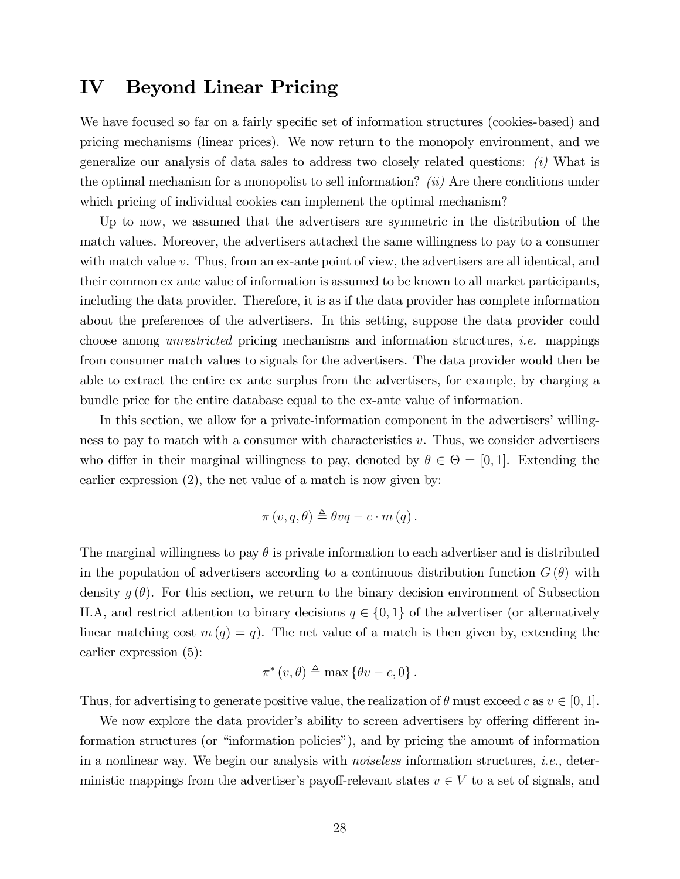## IV Beyond Linear Pricing

We have focused so far on a fairly specific set of information structures (cookies-based) and pricing mechanisms (linear prices). We now return to the monopoly environment, and we generalize our analysis of data sales to address two closely related questions: (i) What is the optimal mechanism for a monopolist to sell information? *(ii)* Are there conditions under which pricing of individual cookies can implement the optimal mechanism?

Up to now, we assumed that the advertisers are symmetric in the distribution of the match values. Moreover, the advertisers attached the same willingness to pay to a consumer with match value v. Thus, from an ex-ante point of view, the advertisers are all identical, and their common ex ante value of information is assumed to be known to all market participants, including the data provider. Therefore, it is as if the data provider has complete information about the preferences of the advertisers. In this setting, suppose the data provider could choose among unrestricted pricing mechanisms and information structures, i.e. mappings from consumer match values to signals for the advertisers. The data provider would then be able to extract the entire ex ante surplus from the advertisers, for example, by charging a bundle price for the entire database equal to the ex-ante value of information.

In this section, we allow for a private-information component in the advertisers' willingness to pay to match with a consumer with characteristics  $v$ . Thus, we consider advertisers who differ in their marginal willingness to pay, denoted by  $\theta \in \Theta = [0, 1]$ . Extending the earlier expression (2), the net value of a match is now given by:

$$
\pi(v, q, \theta) \triangleq \theta vq - c \cdot m(q).
$$

The marginal willingness to pay  $\theta$  is private information to each advertiser and is distributed in the population of advertisers according to a continuous distribution function  $G(\theta)$  with density  $g(\theta)$ . For this section, we return to the binary decision environment of Subsection II.A, and restrict attention to binary decisions  $q \in \{0,1\}$  of the advertiser (or alternatively linear matching cost  $m(q) = q$ . The net value of a match is then given by, extending the earlier expression (5):

$$
\pi^*(v,\theta) \triangleq \max\left\{\theta v - c, 0\right\}.
$$

Thus, for advertising to generate positive value, the realization of  $\theta$  must exceed c as  $v \in [0, 1]$ .

We now explore the data provider's ability to screen advertisers by offering different information structures (or "information policies"), and by pricing the amount of information in a nonlinear way. We begin our analysis with *noiseless* information structures, *i.e.*, deterministic mappings from the advertiser's payoff-relevant states  $v \in V$  to a set of signals, and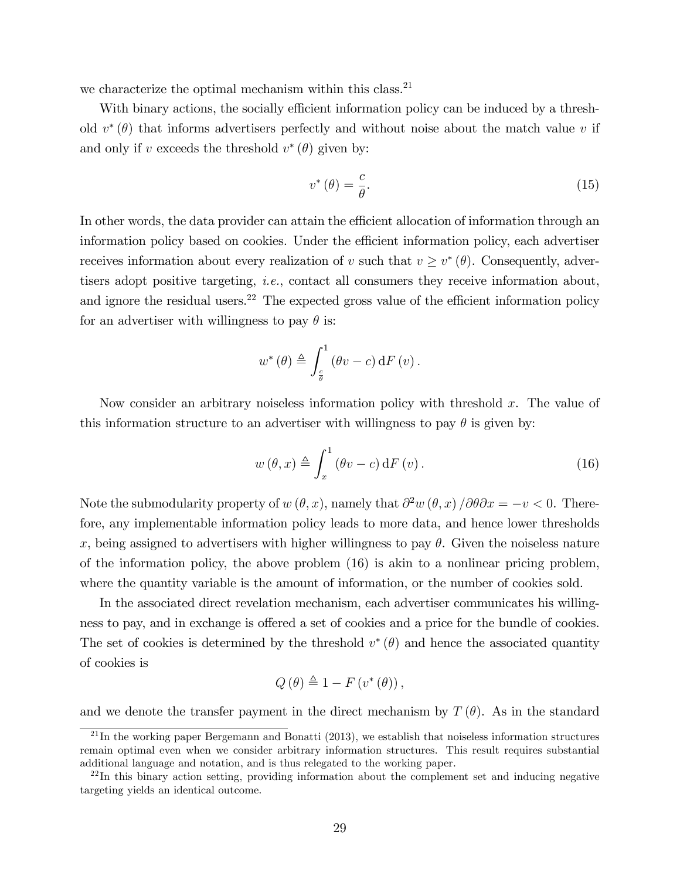we characterize the optimal mechanism within this class.<sup>21</sup>

With binary actions, the socially efficient information policy can be induced by a threshold  $v^*(\theta)$  that informs advertisers perfectly and without noise about the match value v if and only if v exceeds the threshold  $v^*(\theta)$  given by:

$$
v^*(\theta) = \frac{c}{\theta}.\tag{15}
$$

In other words, the data provider can attain the efficient allocation of information through an information policy based on cookies. Under the efficient information policy, each advertiser receives information about every realization of v such that  $v \geq v^*(\theta)$ . Consequently, advertisers adopt positive targeting, i.e., contact all consumers they receive information about, and ignore the residual users.<sup>22</sup> The expected gross value of the efficient information policy for an advertiser with willingness to pay  $\theta$  is:

$$
w^{\ast}\left(\theta\right) \triangleq \int_{\frac{c}{\theta}}^{1}\left(\theta v - c\right)\mathrm{d}F\left(v\right).
$$

Now consider an arbitrary noiseless information policy with threshold  $x$ . The value of this information structure to an advertiser with willingness to pay  $\theta$  is given by:

$$
w(\theta, x) \triangleq \int_{x}^{1} (\theta v - c) dF(v).
$$
 (16)

Note the submodularity property of  $w(\theta, x)$ , namely that  $\partial^2 w(\theta, x) / \partial \theta \partial x = -v < 0$ . Therefore, any implementable information policy leads to more data, and hence lower thresholds x, being assigned to advertisers with higher willingness to pay  $\theta$ . Given the noiseless nature of the information policy, the above problem (16) is akin to a nonlinear pricing problem, where the quantity variable is the amount of information, or the number of cookies sold.

In the associated direct revelation mechanism, each advertiser communicates his willingness to pay, and in exchange is offered a set of cookies and a price for the bundle of cookies. The set of cookies is determined by the threshold  $v^*(\theta)$  and hence the associated quantity of cookies is

$$
Q(\theta) \triangleq 1 - F(v^*(\theta)),
$$

and we denote the transfer payment in the direct mechanism by  $T(\theta)$ . As in the standard

 $^{21}$ In the working paper Bergemann and Bonatti (2013), we establish that noiseless information structures remain optimal even when we consider arbitrary information structures. This result requires substantial additional language and notation, and is thus relegated to the working paper.

 $^{22}$ In this binary action setting, providing information about the complement set and inducing negative targeting yields an identical outcome.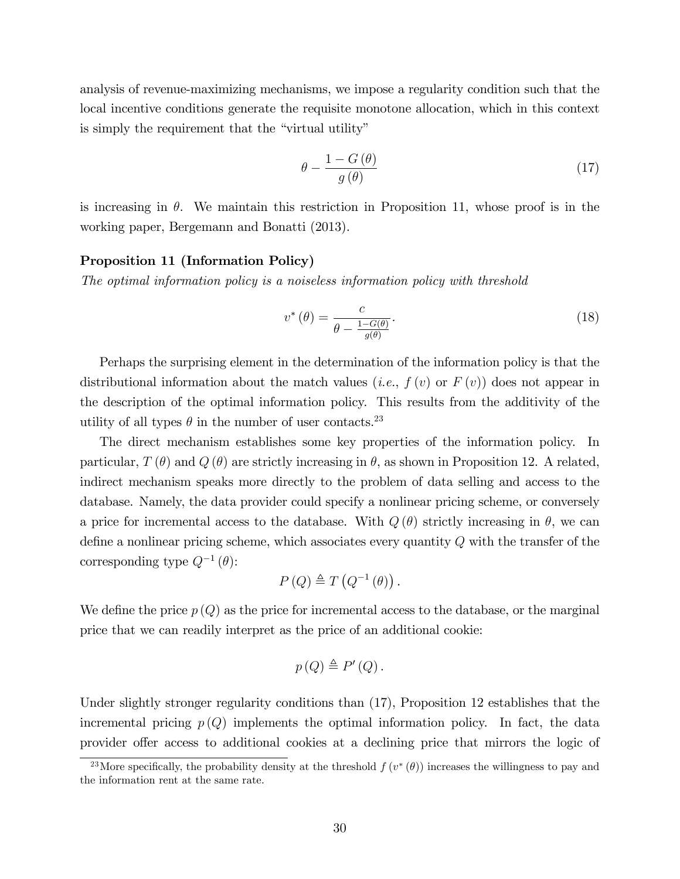analysis of revenue-maximizing mechanisms, we impose a regularity condition such that the local incentive conditions generate the requisite monotone allocation, which in this context is simply the requirement that the "virtual utility"

$$
\theta - \frac{1 - G(\theta)}{g(\theta)}\tag{17}
$$

is increasing in  $\theta$ . We maintain this restriction in Proposition 11, whose proof is in the working paper, Bergemann and Bonatti (2013).

#### Proposition 11 (Information Policy)

The optimal information policy is a noiseless information policy with threshold

$$
v^*(\theta) = \frac{c}{\theta - \frac{1 - G(\theta)}{g(\theta)}}.
$$
\n(18)

Perhaps the surprising element in the determination of the information policy is that the distributional information about the match values (*i.e.*,  $f(v)$  or  $F(v)$ ) does not appear in the description of the optimal information policy. This results from the additivity of the utility of all types  $\theta$  in the number of user contacts.<sup>23</sup>

The direct mechanism establishes some key properties of the information policy. In particular,  $T(\theta)$  and  $Q(\theta)$  are strictly increasing in  $\theta$ , as shown in Proposition 12. A related, indirect mechanism speaks more directly to the problem of data selling and access to the database. Namely, the data provider could specify a nonlinear pricing scheme, or conversely a price for incremental access to the database. With  $Q(\theta)$  strictly increasing in  $\theta$ , we can define a nonlinear pricing scheme, which associates every quantity  $Q$  with the transfer of the corresponding type  $Q^{-1}(\theta)$ :

$$
P(Q) \triangleq T(Q^{-1}(\theta)).
$$

We define the price  $p(Q)$  as the price for incremental access to the database, or the marginal price that we can readily interpret as the price of an additional cookie:

$$
p(Q) \triangleq P'(Q).
$$

Under slightly stronger regularity conditions than (17), Proposition 12 establishes that the incremental pricing  $p(Q)$  implements the optimal information policy. In fact, the data provider offer access to additional cookies at a declining price that mirrors the logic of

<sup>&</sup>lt;sup>23</sup>More specifically, the probability density at the threshold  $f(v^*(\theta))$  increases the willingness to pay and the information rent at the same rate.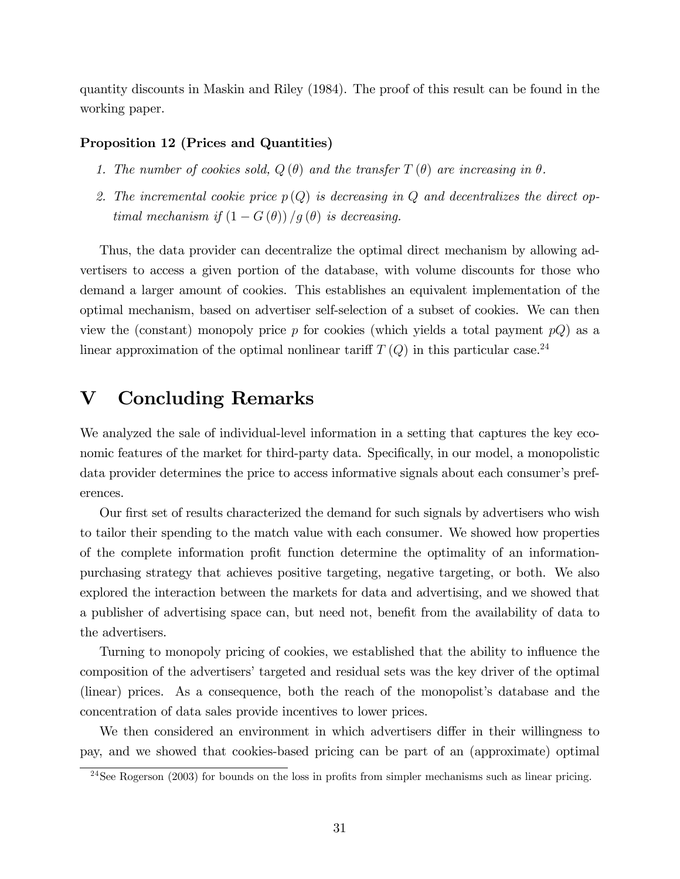quantity discounts in Maskin and Riley (1984). The proof of this result can be found in the working paper.

#### Proposition 12 (Prices and Quantities)

- 1. The number of cookies sold,  $Q(\theta)$  and the transfer  $T(\theta)$  are increasing in  $\theta$ .
- 2. The incremental cookie price  $p(Q)$  is decreasing in Q and decentralizes the direct optimal mechanism if  $(1 - G(\theta))/g(\theta)$  is decreasing.

Thus, the data provider can decentralize the optimal direct mechanism by allowing advertisers to access a given portion of the database, with volume discounts for those who demand a larger amount of cookies. This establishes an equivalent implementation of the optimal mechanism, based on advertiser self-selection of a subset of cookies. We can then view the (constant) monopoly price p for cookies (which yields a total payment  $pQ$ ) as a linear approximation of the optimal nonlinear tariff  $T(Q)$  in this particular case.<sup>24</sup>

## V Concluding Remarks

We analyzed the sale of individual-level information in a setting that captures the key economic features of the market for third-party data. Specifically, in our model, a monopolistic data provider determines the price to access informative signals about each consumer's preferences.

Our first set of results characterized the demand for such signals by advertisers who wish to tailor their spending to the match value with each consumer. We showed how properties of the complete information profit function determine the optimality of an informationpurchasing strategy that achieves positive targeting, negative targeting, or both. We also explored the interaction between the markets for data and advertising, and we showed that a publisher of advertising space can, but need not, benefit from the availability of data to the advertisers.

Turning to monopoly pricing of cookies, we established that the ability to influence the composition of the advertisers' targeted and residual sets was the key driver of the optimal (linear) prices. As a consequence, both the reach of the monopolist's database and the concentration of data sales provide incentives to lower prices.

We then considered an environment in which advertisers differ in their willingness to pay, and we showed that cookies-based pricing can be part of an (approximate) optimal

<sup>&</sup>lt;sup>24</sup>See Rogerson (2003) for bounds on the loss in profits from simpler mechanisms such as linear pricing.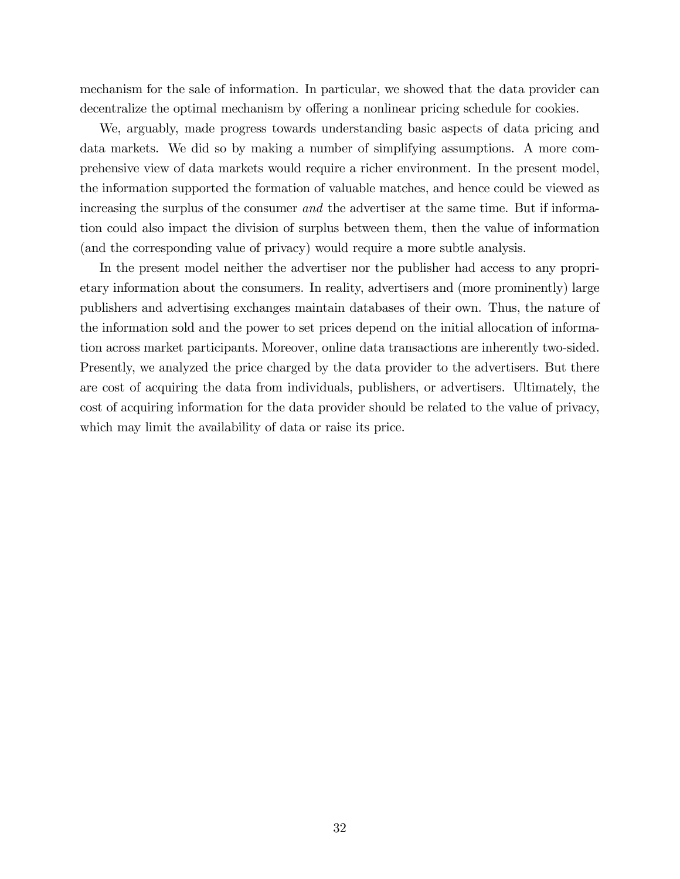mechanism for the sale of information. In particular, we showed that the data provider can decentralize the optimal mechanism by offering a nonlinear pricing schedule for cookies.

We, arguably, made progress towards understanding basic aspects of data pricing and data markets. We did so by making a number of simplifying assumptions. A more comprehensive view of data markets would require a richer environment. In the present model, the information supported the formation of valuable matches, and hence could be viewed as increasing the surplus of the consumer and the advertiser at the same time. But if information could also impact the division of surplus between them, then the value of information (and the corresponding value of privacy) would require a more subtle analysis.

In the present model neither the advertiser nor the publisher had access to any proprietary information about the consumers. In reality, advertisers and (more prominently) large publishers and advertising exchanges maintain databases of their own. Thus, the nature of the information sold and the power to set prices depend on the initial allocation of information across market participants. Moreover, online data transactions are inherently two-sided. Presently, we analyzed the price charged by the data provider to the advertisers. But there are cost of acquiring the data from individuals, publishers, or advertisers. Ultimately, the cost of acquiring information for the data provider should be related to the value of privacy, which may limit the availability of data or raise its price.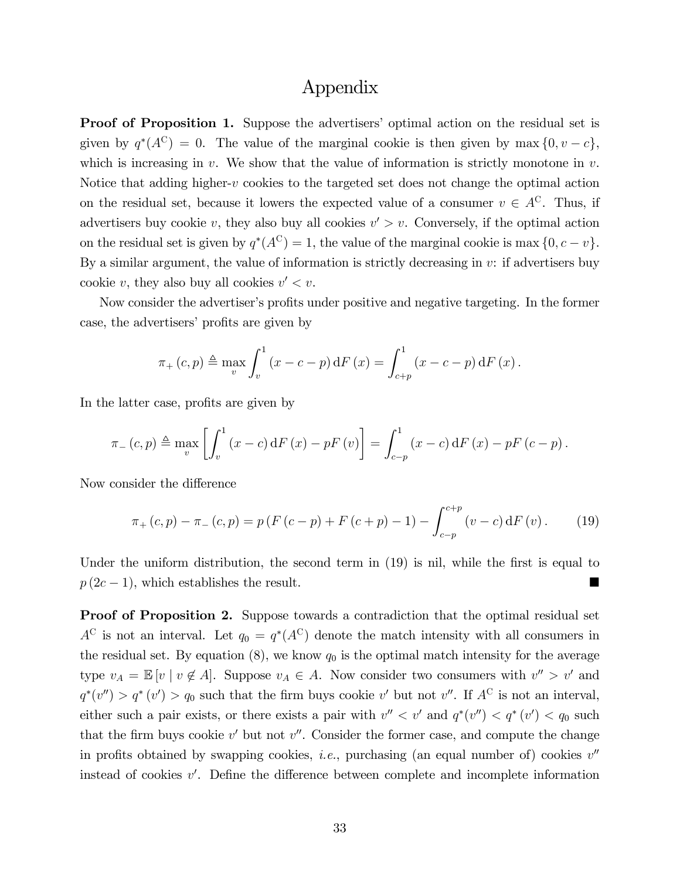## Appendix

**Proof of Proposition 1.** Suppose the advertisers' optimal action on the residual set is given by  $q^*(A^C) = 0$ . The value of the marginal cookie is then given by max  $\{0, v - c\}$ , which is increasing in  $v$ . We show that the value of information is strictly monotone in  $v$ . Notice that adding higher- $v$  cookies to the targeted set does not change the optimal action on the residual set, because it lowers the expected value of a consumer  $v \in A^C$ . Thus, if advertisers buy cookie v, they also buy all cookies  $v' > v$ . Conversely, if the optimal action on the residual set is given by  $q^*(A^C) = 1$ , the value of the marginal cookie is max  $\{0, c - v\}$ . By a similar argument, the value of information is strictly decreasing in  $v$ : if advertisers buy cookie v, they also buy all cookies  $v' < v$ .

Now consider the advertiser's profits under positive and negative targeting. In the former case, the advertisers' profits are given by

$$
\pi_{+}(c, p) \triangleq \max_{v} \int_{v}^{1} (x - c - p) dF(x) = \int_{c+p}^{1} (x - c - p) dF(x).
$$

In the latter case, profits are given by

$$
\pi_{-}(c,p) \triangleq \max_{v} \left[ \int_{v}^{1} (x-c) dF(x) - pF(v) \right] = \int_{c-p}^{1} (x-c) dF(x) - pF(c-p).
$$

Now consider the difference

$$
\pi_{+}(c,p) - \pi_{-}(c,p) = p(F(c-p) + F(c+p) - 1) - \int_{c-p}^{c+p} (v-c) dF(v).
$$
 (19)

Under the uniform distribution, the second term in  $(19)$  is nil, while the first is equal to  $p(2c-1)$ , which establishes the result.

Proof of Proposition 2. Suppose towards a contradiction that the optimal residual set  $A^C$  is not an interval. Let  $q_0 = q^*(A^C)$  denote the match intensity with all consumers in the residual set. By equation  $(8)$ , we know  $q_0$  is the optimal match intensity for the average type  $v_A = \mathbb{E}[v \mid v \notin A]$ . Suppose  $v_A \in A$ . Now consider two consumers with  $v'' > v'$  and  $q^*(v'') > q^*(v') > q_0$  such that the firm buys cookie v' but not v''. If  $A^C$  is not an interval, either such a pair exists, or there exists a pair with  $v'' < v'$  and  $q^*(v'') < q^*(v') < q_0$  such that the firm buys cookie  $v'$  but not  $v''$ . Consider the former case, and compute the change in profits obtained by swapping cookies, *i.e.*, purchasing (an equal number of) cookies  $v''$ instead of cookies  $v'$ . Define the difference between complete and incomplete information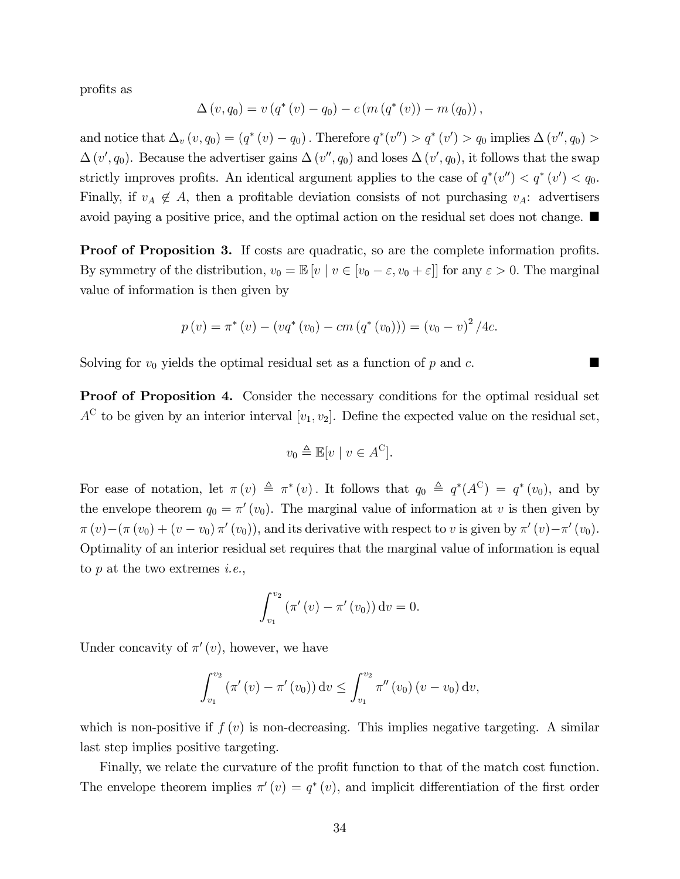profits as

$$
\Delta(v, q_0) = v (q^*(v) - q_0) - c (m (q^*(v)) - m (q_0)),
$$

and notice that  $\Delta_v (v, q_0) = (q^* (v) - q_0)$ . Therefore  $q^* (v'') > q^* (v') > q_0$  implies  $\Delta(v'', q_0) >$  $\Delta(v', q_0)$ . Because the advertiser gains  $\Delta(v'', q_0)$  and loses  $\Delta(v', q_0)$ , it follows that the swap strictly improves profits. An identical argument applies to the case of  $q^*(v'') < q^*(v') < q_0$ . Finally, if  $v_A \notin A$ , then a profitable deviation consists of not purchasing  $v_A$ : advertisers avoid paying a positive price, and the optimal action on the residual set does not change.

**Proof of Proposition 3.** If costs are quadratic, so are the complete information profits. By symmetry of the distribution,  $v_0 = \mathbb{E}[v \mid v \in [v_0 - \varepsilon, v_0 + \varepsilon]]$  for any  $\varepsilon > 0$ . The marginal value of information is then given by

$$
p(v) = \pi^*(v) - (vq^*(v_0) - cm (q^*(v_0))) = (v_0 - v)^2 / 4c.
$$

Solving for  $v_0$  yields the optimal residual set as a function of p and c.

Proof of Proposition 4. Consider the necessary conditions for the optimal residual set  $A^C$  to be given by an interior interval  $[v_1, v_2]$ . Define the expected value on the residual set,

$$
v_0 \triangleq \mathbb{E}[v \mid v \in A^C].
$$

For ease of notation, let  $\pi(v) \triangleq \pi^*(v)$ . It follows that  $q_0 \triangleq q^*(A^C) = q^*(v_0)$ , and by the envelope theorem  $q_0 = \pi'(v_0)$ . The marginal value of information at v is then given by  $\pi(v) - (\pi(v_0) + (v - v_0)\pi'(v_0))$ , and its derivative with respect to v is given by  $\pi'(v) - \pi'(v_0)$ . Optimality of an interior residual set requires that the marginal value of information is equal to  $p$  at the two extremes *i.e.*,

$$
\int_{v_1}^{v_2} (\pi'(v) - \pi'(v_0)) dv = 0.
$$

Under concavity of  $\pi'(v)$ , however, we have

$$
\int_{v_1}^{v_2} (\pi'(v) - \pi'(v_0)) dv \le \int_{v_1}^{v_2} \pi''(v_0) (v - v_0) dv,
$$

which is non-positive if  $f(v)$  is non-decreasing. This implies negative targeting. A similar last step implies positive targeting.

Finally, we relate the curvature of the profit function to that of the match cost function. The envelope theorem implies  $\pi'(v) = q^*(v)$ , and implicit differentiation of the first order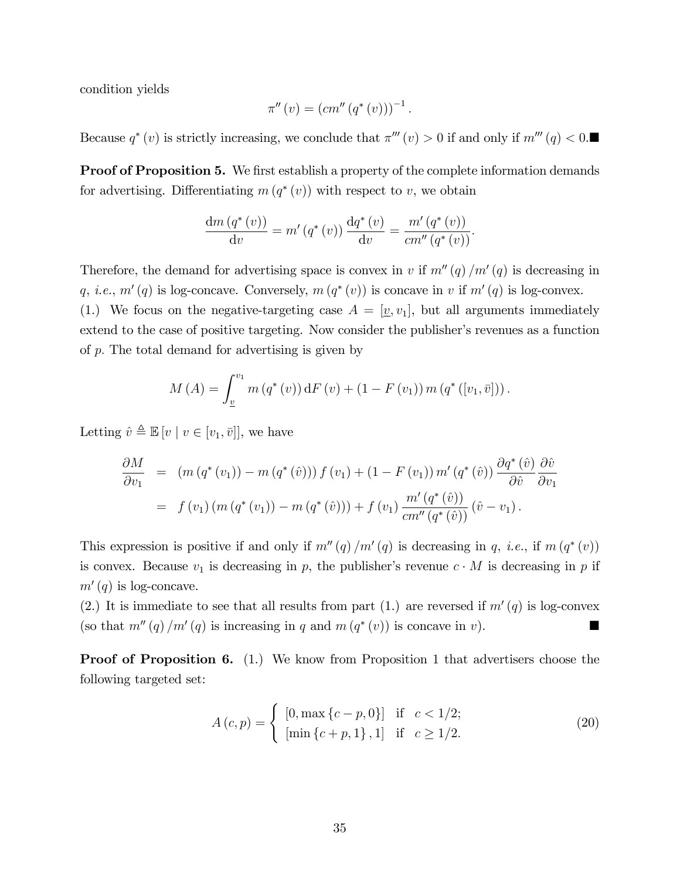condition yields

$$
\pi''(v) = (cm''(q^*(v)))^{-1}.
$$

Because  $q^*(v)$  is strictly increasing, we conclude that  $\pi'''(v) > 0$  if and only if  $m'''(q) < 0$ .

**Proof of Proposition 5.** We first establish a property of the complete information demands for advertising. Differentiating  $m(q^*(v))$  with respect to v, we obtain

$$
\frac{\mathrm{d}m\left(q^*(v)\right)}{\mathrm{d}v} = m'\left(q^*(v)\right)\frac{\mathrm{d}q^*(v)}{\mathrm{d}v} = \frac{m'\left(q^*(v)\right)}{cm''\left(q^*(v)\right)}.
$$

Therefore, the demand for advertising space is convex in v if  $m''(q)/m'(q)$  is decreasing in q, *i.e.*,  $m'(q)$  is log-concave. Conversely,  $m(q^*(v))$  is concave in v if  $m'(q)$  is log-convex. (1.) We focus on the negative-targeting case  $A = [\underline{v}, v_1]$ , but all arguments immediately extend to the case of positive targeting. Now consider the publisher's revenues as a function of  $p$ . The total demand for advertising is given by

$$
M(A) = \int_{\underline{v}}^{v_1} m(q^*(v)) dF(v) + (1 - F(v_1)) m(q^*([v_1, \bar{v}])).
$$

Letting  $\hat{v} \triangleq \mathbb{E} [v \mid v \in [v_1, \bar{v}]]$ , we have

$$
\frac{\partial M}{\partial v_1} = (m (q^* (v_1)) - m (q^* (\hat{v}))) f (v_1) + (1 - F (v_1)) m' (q^* (\hat{v})) \frac{\partial q^* (\hat{v})}{\partial \hat{v}} \frac{\partial \hat{v}}{\partial v_1} \n= f (v_1) (m (q^* (v_1)) - m (q^* (\hat{v}))) + f (v_1) \frac{m' (q^* (\hat{v}))}{cm'' (q^* (\hat{v}))} (\hat{v} - v_1).
$$

This expression is positive if and only if  $m''(q)/m'(q)$  is decreasing in q, *i.e.*, if  $m(q^*(v))$ is convex. Because  $v_1$  is decreasing in p, the publisher's revenue  $c \cdot M$  is decreasing in p if  $m'(q)$  is log-concave.

(2.) It is immediate to see that all results from part (1.) are reversed if  $m'(q)$  is log-convex (so that  $m''(q)/m'(q)$  is increasing in q and  $m(q^*(v))$  is concave in v).

Proof of Proposition 6. (1.) We know from Proposition 1 that advertisers choose the following targeted set:

$$
A(c,p) = \begin{cases} [0, \max\{c-p, 0\}] & \text{if } c < 1/2; \\ [\min\{c+p, 1\}, 1] & \text{if } c \ge 1/2. \end{cases}
$$
 (20)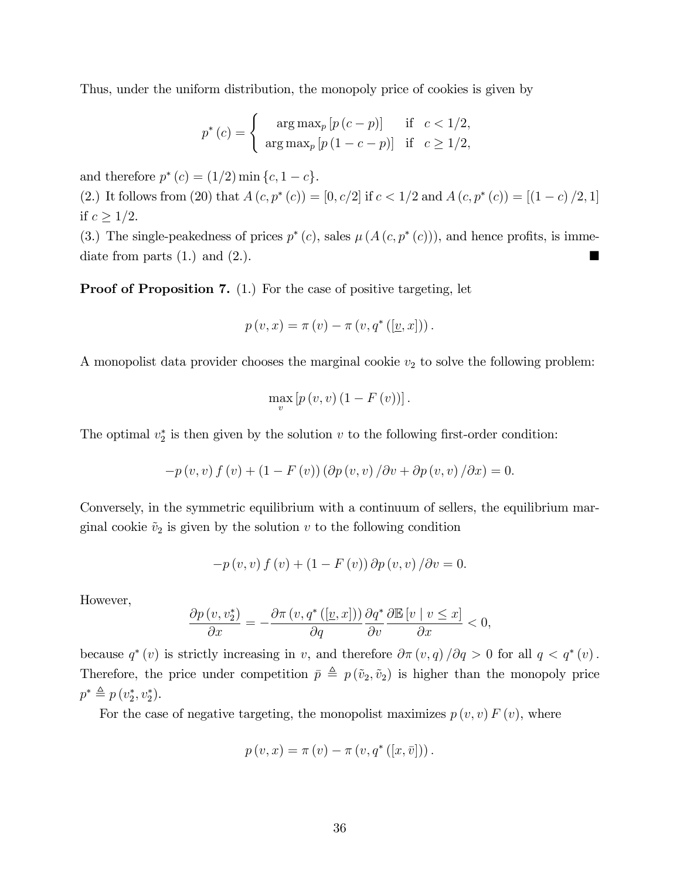Thus, under the uniform distribution, the monopoly price of cookies is given by

$$
p^*(c) = \begin{cases} \arg \max_p [p(c-p)] & \text{if } c < 1/2, \\ \arg \max_p [p(1-c-p)] & \text{if } c \ge 1/2, \end{cases}
$$

and therefore  $p^*(c) = (1/2) \min\{c, 1-c\}.$ 

(2.) It follows from (20) that  $A(c, p^*(c)) = [0, c/2]$  if  $c < 1/2$  and  $A(c, p^*(c)) = [(1 - c)/2, 1]$ if  $c \geq 1/2$ .

(3.) The single-peakedness of prices  $p^*(c)$ , sales  $\mu(A(c, p^*(c)))$ , and hence profits, is immediate from parts  $(1.)$  and  $(2.)$ .

**Proof of Proposition 7.** (1.) For the case of positive targeting, let

$$
p(v,x) = \pi(v) - \pi(v,q^*([\underline{v},x])).
$$

A monopolist data provider chooses the marginal cookie  $v_2$  to solve the following problem:

$$
\max_{v}\left[p\left(v,v\right)\left(1-F\left(v\right)\right)\right].
$$

The optimal  $v_2^*$  is then given by the solution  $v$  to the following first-order condition:

$$
-p(v, v) f(v) + (1 - F(v)) (\partial p(v, v) / \partial v + \partial p(v, v) / \partial x) = 0.
$$

Conversely, in the symmetric equilibrium with a continuum of sellers, the equilibrium marginal cookie  $\tilde{v}_2$  is given by the solution v to the following condition

$$
-p(v, v) f(v) + (1 - F(v)) \partial p(v, v) / \partial v = 0.
$$

However,

$$
\frac{\partial p(v, v_2^*)}{\partial x} = -\frac{\partial \pi(v, q^*([\underline{v}, x]))}{\partial q} \frac{\partial q^*}{\partial v} \frac{\partial \mathbb{E}[v \mid v \le x]}{\partial x} < 0,
$$

because  $q^*(v)$  is strictly increasing in v, and therefore  $\partial \pi(v,q)/\partial q > 0$  for all  $q < q^*(v)$ . Therefore, the price under competition  $\bar{p} \triangleq p(\tilde{v}_2, \tilde{v}_2)$  is higher than the monopoly price  $p^* \triangleq p(v_2^*, v_2^*).$ 

For the case of negative targeting, the monopolist maximizes  $p(v, v) F(v)$ , where

$$
p(v,x) = \pi(v) - \pi(v,q^*([x,\overline{v}])).
$$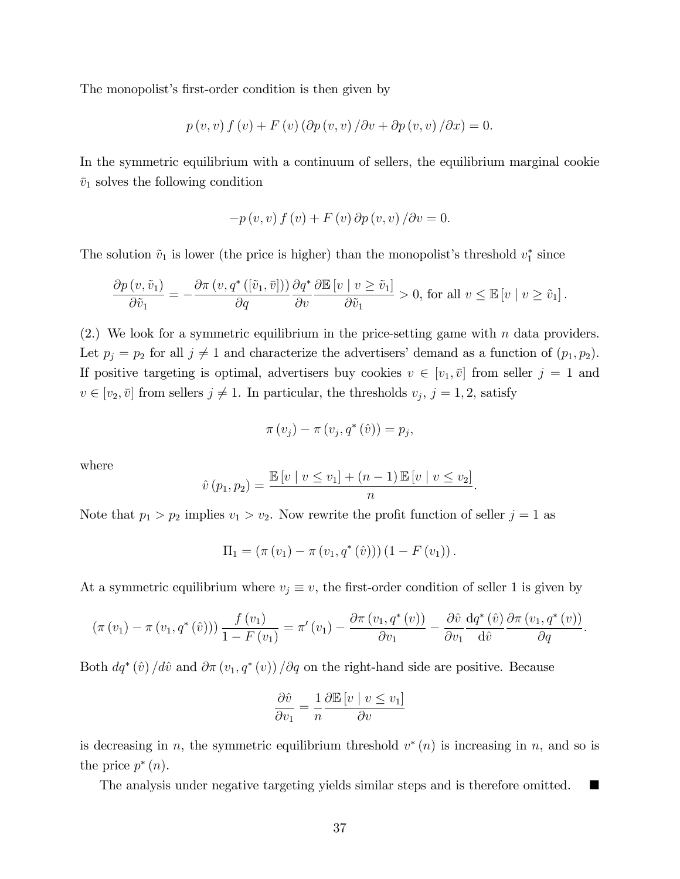The monopolist's first-order condition is then given by

$$
p(v, v) f(v) + F(v) (\partial p(v, v) / \partial v + \partial p(v, v) / \partial x) = 0.
$$

In the symmetric equilibrium with a continuum of sellers, the equilibrium marginal cookie  $\bar{v}_1$  solves the following condition

$$
-p(v, v) f(v) + F(v) \partial p(v, v) / \partial v = 0.
$$

The solution  $\tilde{v}_1$  is lower (the price is higher) than the monopolist's threshold  $v_1^*$  since

$$
\frac{\partial p(v, \tilde{v}_1)}{\partial \tilde{v}_1} = -\frac{\partial \pi(v, q^*([\tilde{v}_1, \bar{v}]))}{\partial q} \frac{\partial q^*}{\partial v} \frac{\partial \mathbb{E}[v \mid v \ge \tilde{v}_1]}{\partial \tilde{v}_1} > 0, \text{ for all } v \le \mathbb{E}[v \mid v \ge \tilde{v}_1].
$$

 $(2.)$  We look for a symmetric equilibrium in the price-setting game with n data providers. Let  $p_j = p_2$  for all  $j \neq 1$  and characterize the advertisers' demand as a function of  $(p_1, p_2)$ . If positive targeting is optimal, advertisers buy cookies  $v \in [v_1, \bar{v}]$  from seller  $j = 1$  and  $v \in [v_2, \bar{v}]$  from sellers  $j \neq 1$ . In particular, the thresholds  $v_j$ ,  $j = 1, 2$ , satisfy

$$
\pi(v_j) - \pi(v_j, q^*(\hat{v})) = p_j,
$$

where

$$
\hat{v}(p_1, p_2) = \frac{\mathbb{E}[v \mid v \le v_1] + (n-1) \mathbb{E}[v \mid v \le v_2]}{n}.
$$

Note that  $p_1 > p_2$  implies  $v_1 > v_2$ . Now rewrite the profit function of seller  $j = 1$  as

$$
\Pi_1 = (\pi(v_1) - \pi(v_1, q^*(\hat{v}))) (1 - F(v_1)).
$$

At a symmetric equilibrium where  $v_j \equiv v$ , the first-order condition of seller 1 is given by

$$
\left(\pi(v_1)-\pi(v_1,q^*(\hat{v}))\right)\frac{f(v_1)}{1-F(v_1)}=\pi'(v_1)-\frac{\partial\pi(v_1,q^*(v))}{\partial v_1}-\frac{\partial\hat{v}}{\partial v_1}\frac{dq^*(\hat{v})}{d\hat{v}}\frac{\partial\pi(v_1,q^*(v))}{\partial q}.
$$

Both  $dq^*(\hat{v})/d\hat{v}$  and  $\partial \pi(v_1, q^*(v))/\partial q$  on the right-hand side are positive. Because

$$
\frac{\partial \hat{v}}{\partial v_1} = \frac{1}{n} \frac{\partial \mathbb{E}[v \mid v \le v_1]}{\partial v}
$$

is decreasing in n, the symmetric equilibrium threshold  $v^*(n)$  is increasing in n, and so is the price  $p^*(n)$ .

The analysis under negative targeting yields similar steps and is therefore omitted.  $\blacksquare$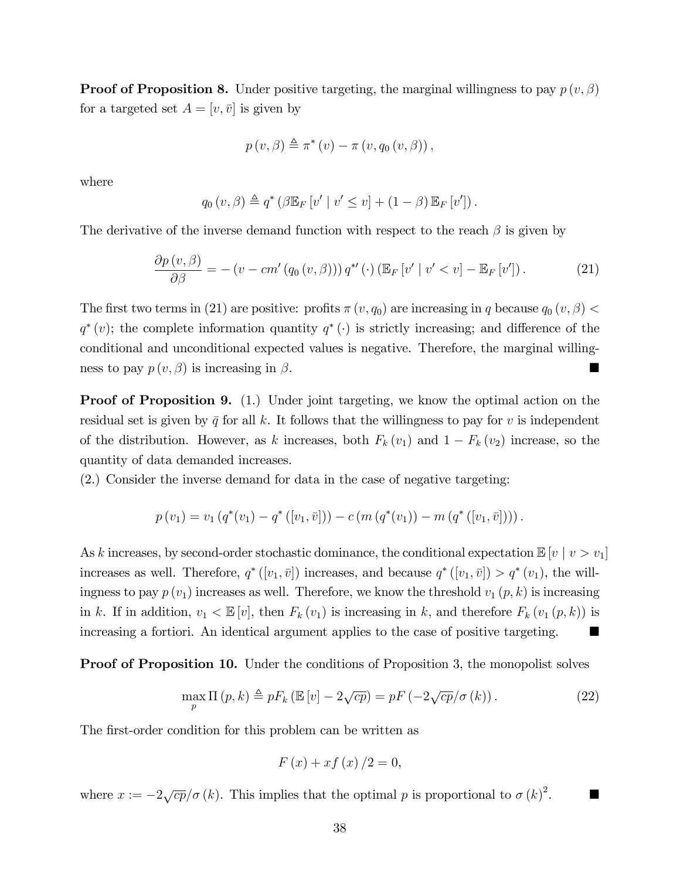**Proof of Proposition 8.** Under positive targeting, the marginal willingness to pay  $p(v, \beta)$ for a targeted set  $A = [v, \bar{v}]$  is given by

$$
p(v, \beta) \triangleq \pi^*(v) - \pi(v, q_0(v, \beta)),
$$

where

$$
q_0(v,\beta) \triangleq q^* \left(\beta \mathbb{E}_F[v' \mid v' \leq v] + (1-\beta) \mathbb{E}_F[v']\right).
$$

The derivative of the inverse demand function with respect to the reach  $\beta$  is given by

$$
\frac{\partial p(v,\beta)}{\partial \beta} = - (v - cm'(q_0(v,\beta))) q^{*'}(\cdot) (\mathbb{E}_F[v' \mid v' < v] - \mathbb{E}_F[v']) . \tag{21}
$$

The first two terms in (21) are positive: profits  $\pi(v, q_0)$  are increasing in q because  $q_0(v, \beta)$  <  $q^*(v)$ ; the complete information quantity  $q^*(\cdot)$  is strictly increasing; and difference of the conditional and unconditional expected values is negative. Therefore, the marginal willingness to pay  $p(v, \beta)$  is increasing in  $\beta$ .

**Proof of Proposition 9.** (1.) Under joint targeting, we know the optimal action on the residual set is given by  $\bar{q}$  for all k. It follows that the willingness to pay for v is independent of the distribution. However, as k increases, both  $F_k(v_1)$  and  $1-F_k(v_2)$  increase, so the quantity of data demanded increases.

(2.) Consider the inverse demand for data in the case of negative targeting:

$$
p(v_1) = v_1(q^*(v_1) - q^*([v_1, \bar{v}])) - c(m(q^*(v_1)) - m(q^*([v_1, \bar{v}])))
$$

As k increases, by second-order stochastic dominance, the conditional expectation  $\mathbb{E}[v \mid v > v_1]$ increases as well. Therefore,  $q^*([v_1, \bar{v}])$  increases, and because  $q^*([v_1, \bar{v}]) > q^*(v_1)$ , the willingness to pay  $p(v_1)$  increases as well. Therefore, we know the threshold  $v_1(p, k)$  is increasing in k. If in addition,  $v_1 < \mathbb{E}[v]$ , then  $F_k(v_1)$  is increasing in k, and therefore  $F_k(v_1(p, k))$  is increasing a fortiori. An identical argument applies to the case of positive targeting.

Proof of Proposition 10. Under the conditions of Proposition 3, the monopolist solves

$$
\max_{p} \Pi(p,k) \triangleq pF_k \left( \mathbb{E}\left[v\right] - 2\sqrt{cp} \right) = pF \left( -2\sqrt{cp}/\sigma\left(k\right) \right). \tag{22}
$$

The first-order condition for this problem can be written as

$$
F\left(x\right) + xf\left(x\right)/2 = 0,
$$

where  $x := -2\sqrt{cp}/\sigma(k)$ . This implies that the optimal p is proportional to  $\sigma(k)^2$ .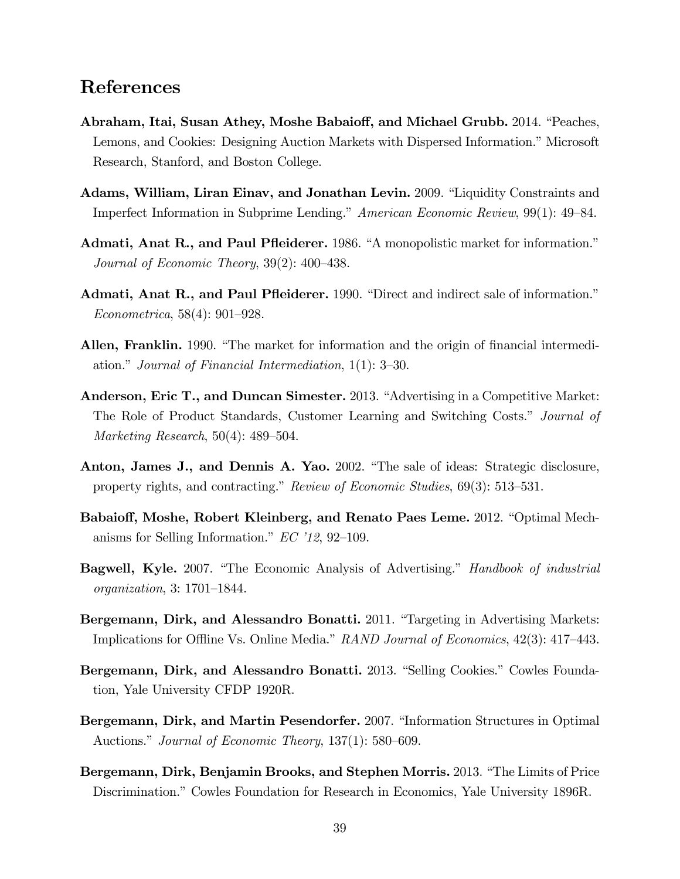## References

- Abraham, Itai, Susan Athey, Moshe Babaioff, and Michael Grubb. 2014. "Peaches, Lemons, and Cookies: Designing Auction Markets with Dispersed Information." Microsoft Research, Stanford, and Boston College.
- Adams, William, Liran Einav, and Jonathan Levin. 2009. "Liquidity Constraints and Imperfect Information in Subprime Lending." American Economic Review, 99(1): 49–84.
- Admati, Anat R., and Paul Pfleiderer. 1986. "A monopolistic market for information." Journal of Economic Theory,  $39(2)$ :  $400-438$ .
- Admati, Anat R., and Paul Pfleiderer. 1990. "Direct and indirect sale of information."  $Econometrica, 58(4): 901-928.$
- **Allen, Franklin.** 1990. "The market for information and the origin of financial intermediation." Journal of Financial Intermediation,  $1(1)$ : 3–30.
- Anderson, Eric T., and Duncan Simester. 2013. "Advertising in a Competitive Market: The Role of Product Standards, Customer Learning and Switching Costs.<sup>n</sup> Journal of Marketing Research,  $50(4)$ : 489–504.
- Anton, James J., and Dennis A. Yao. 2002. "The sale of ideas: Strategic disclosure, property rights, and contracting." Review of Economic Studies,  $69(3)$ : 513–531.
- Babaioff, Moshe, Robert Kleinberg, and Renato Paes Leme. 2012. "Optimal Mechanisms for Selling Information."  $EC'12$ , 92-109.
- **Bagwell, Kyle.** 2007. "The Economic Analysis of Advertising." *Handbook of industrial* organization,  $3: 1701-1844$ .
- Bergemann, Dirk, and Alessandro Bonatti. 2011. "Targeting in Advertising Markets: Implications for Offline Vs. Online Media."  $RAND$  Journal of Economics, 42(3): 417–443.
- Bergemann, Dirk, and Alessandro Bonatti. 2013. "Selling Cookies." Cowles Foundation, Yale University CFDP 1920R.
- Bergemann, Dirk, and Martin Pesendorfer. 2007. "Information Structures in Optimal Auctions." Journal of Economic Theory,  $137(1)$ : 580–609.
- Bergemann, Dirk, Benjamin Brooks, and Stephen Morris. 2013. "The Limits of Price Discrimination." Cowles Foundation for Research in Economics, Yale University 1896R.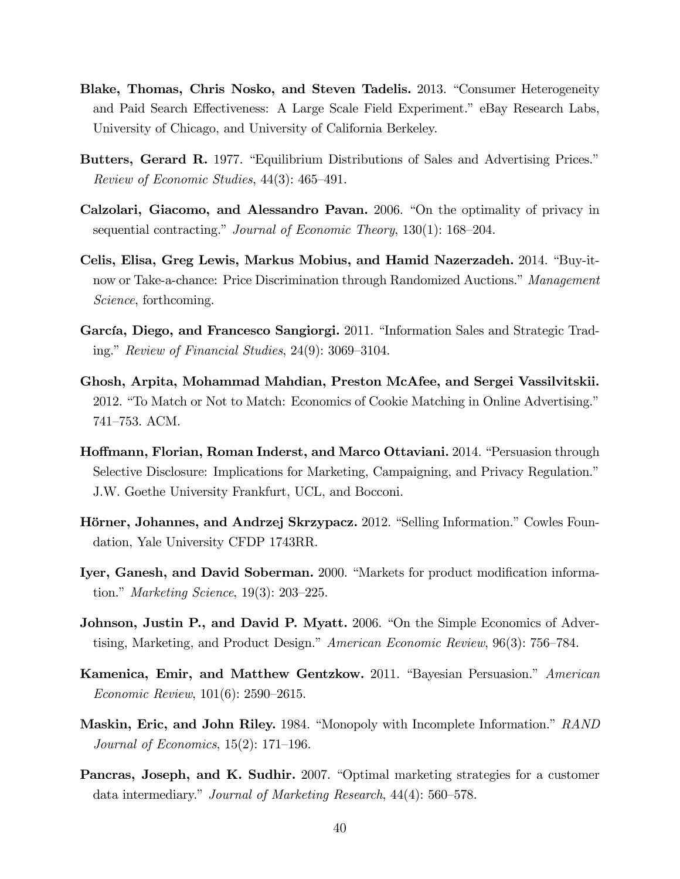- Blake, Thomas, Chris Nosko, and Steven Tadelis. 2013. "Consumer Heterogeneity and Paid Search Effectiveness: A Large Scale Field Experiment." eBay Research Labs, University of Chicago, and University of California Berkeley.
- Butters, Gerard R. 1977. "Equilibrium Distributions of Sales and Advertising Prices." Review of Economic Studies,  $44(3)$ :  $465-491$ .
- Calzolari, Giacomo, and Alessandro Pavan. 2006. "On the optimality of privacy in sequential contracting." Journal of Economic Theory,  $130(1)$ :  $168-204$ .
- Celis, Elisa, Greg Lewis, Markus Mobius, and Hamid Nazerzadeh. 2014. "Buy-itnow or Take-a-chance: Price Discrimination through Randomized Auctions." Management Science, forthcoming.
- García, Diego, and Francesco Sangiorgi. 2011. "Information Sales and Strategic Trading." Review of Financial Studies,  $24(9)$ : 3069–3104.
- Ghosh, Arpita, Mohammad Mahdian, Preston McAfee, and Sergei Vassilvitskii. 2012. "To Match or Not to Match: Economics of Cookie Matching in Online Advertising." 741–753. ACM.
- Hoffmann, Florian, Roman Inderst, and Marco Ottaviani. 2014. "Persuasion through Selective Disclosure: Implications for Marketing, Campaigning, and Privacy Regulation.<sup>n</sup> J.W. Goethe University Frankfurt, UCL, and Bocconi.
- Hörner, Johannes, and Andrzej Skrzypacz. 2012. "Selling Information." Cowles Foundation, Yale University CFDP 1743RR.
- Iyer, Ganesh, and David Soberman. 2000. "Markets for product modification information." Marketing Science,  $19(3)$ : 203–225.
- **Johnson, Justin P., and David P. Myatt.** 2006. "On the Simple Economics of Advertising, Marketing, and Product Design." American Economic Review,  $96(3)$ : 756–784.
- Kamenica, Emir, and Matthew Gentzkow. 2011. "Bayesian Persuasion." American Economic Review,  $101(6)$ : 2590–2615.
- Maskin, Eric, and John Riley. 1984. "Monopoly with Incomplete Information." RAND Journal of Economics,  $15(2)$ : 171–196.
- Pancras, Joseph, and K. Sudhir. 2007. "Optimal marketing strategies for a customer data intermediary." Journal of Marketing Research,  $44(4)$ : 560–578.